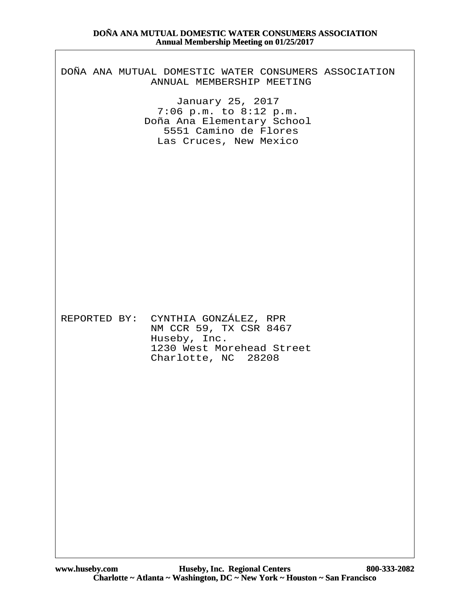| $\blacksquare$                                                                                                                                                                                                   |
|------------------------------------------------------------------------------------------------------------------------------------------------------------------------------------------------------------------|
| DOÑA ANA MUTUAL DOMESTIC WATER CONSUMERS ASSOCIATION<br>ANNUAL MEMBERSHIP MEETING<br>January 25, 2017<br>7:06 p.m. to 8:12 p.m.<br>Doña Ana Elementary School<br>5551 Camino de Flores<br>Las Cruces, New Mexico |
|                                                                                                                                                                                                                  |
| REPORTED BY: CYNTHIA GONZÁLEZ, RPR<br>NM CCR 59, TX CSR 8467<br>Huseby, Inc.<br>1230 West Morehead Street<br>Charlotte, NC 28208                                                                                 |
|                                                                                                                                                                                                                  |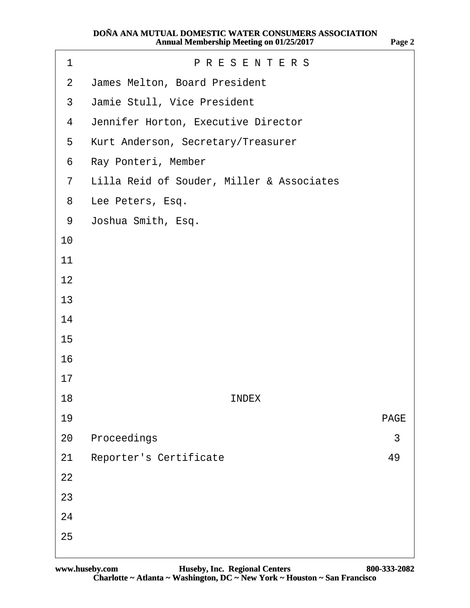| 1              | <b>PRESENTERS</b>                         |             |  |
|----------------|-------------------------------------------|-------------|--|
| $\overline{2}$ | James Melton, Board President             |             |  |
| 3              | Jamie Stull, Vice President               |             |  |
| 4              | Jennifer Horton, Executive Director       |             |  |
| 5              | Kurt Anderson, Secretary/Treasurer        |             |  |
| 6              | Ray Ponteri, Member                       |             |  |
| $\overline{7}$ | Lilla Reid of Souder, Miller & Associates |             |  |
| 8              | Lee Peters, Esq.                          |             |  |
| 9              | Joshua Smith, Esq.                        |             |  |
| 10             |                                           |             |  |
| 11             |                                           |             |  |
| 12             |                                           |             |  |
| 13             |                                           |             |  |
| 14             |                                           |             |  |
| 15             |                                           |             |  |
| 16             |                                           |             |  |
| 17             |                                           |             |  |
| 18             | <b>INDEX</b>                              |             |  |
| 19             |                                           | <b>PAGE</b> |  |
| 20             | Proceedings                               | 3           |  |
| 21             | <b>Reporter's Certificate</b>             | 49          |  |
| 22             |                                           |             |  |
| 23             |                                           |             |  |
| 24             |                                           |             |  |
| 25             |                                           |             |  |
|                |                                           |             |  |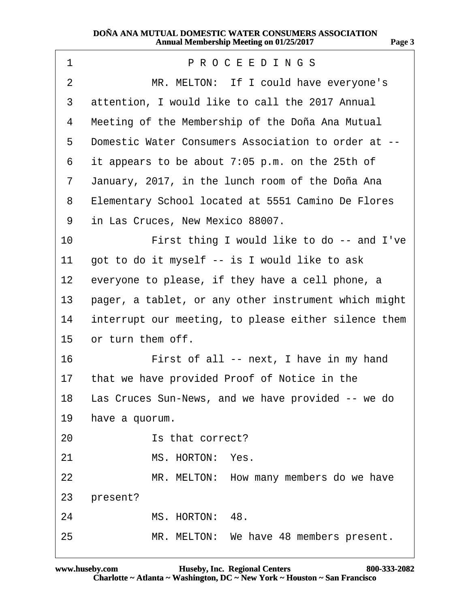<span id="page-2-0"></span>

| 1              | PROCEEDINGS                                           |
|----------------|-------------------------------------------------------|
| $\overline{2}$ | MR. MELTON: If I could have everyone's                |
| 3              | attention, I would like to call the 2017 Annual       |
| 4              | Meeting of the Membership of the Doña Ana Mutual      |
| 5              | Domestic Water Consumers Association to order at --   |
| 6              | it appears to be about 7:05 p.m. on the 25th of       |
| $\overline{7}$ | January, 2017, in the lunch room of the Doña Ana      |
| 8              | Elementary School located at 5551 Camino De Flores    |
| 9              | in Las Cruces, New Mexico 88007.                      |
| 10             | First thing I would like to do -- and I've            |
| 11             | got to do it myself -- is I would like to ask         |
| 12             | everyone to please, if they have a cell phone, a      |
| 13             | pager, a tablet, or any other instrument which might  |
| 14             | interrupt our meeting, to please either silence them  |
| 15             | or turn them off.                                     |
| 16             | First of all -- next, I have in my hand               |
|                | 17 that we have provided Proof of Notice in the       |
|                | 18 Las Cruces Sun-News, and we have provided -- we do |
| 19             | have a quorum.                                        |
| 20             | Is that correct?                                      |
| 21             | MS. HORTON: Yes.                                      |
| 22             | MR. MELTON: How many members do we have               |
| 23             | present?                                              |
| 24             | MS. HORTON: 48.                                       |
| 25             | MR. MELTON: We have 48 members present.               |
|                |                                                       |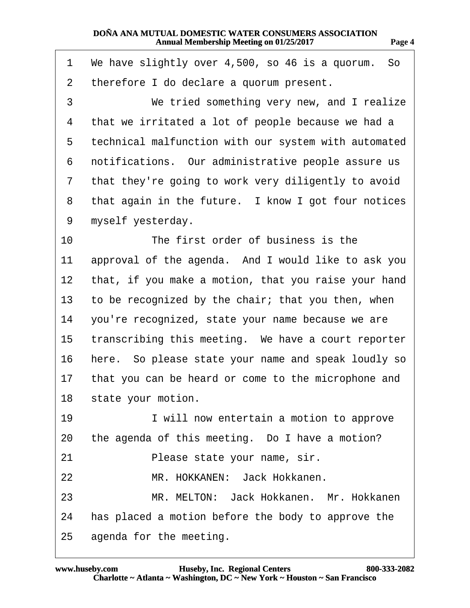| . .<br>. .<br>г |  |
|-----------------|--|
|-----------------|--|

<span id="page-3-0"></span>

| We have slightly over 4,500, so 46 is a quorum. So   |
|------------------------------------------------------|
| therefore I do declare a quorum present.             |
| We tried something very new, and I realize           |
| that we irritated a lot of people because we had a   |
| technical malfunction with our system with automated |
| notifications. Our administrative people assure us   |
| that they're going to work very diligently to avoid  |
| that again in the future. I know I got four notices  |
| myself yesterday.                                    |
| The first order of business is the                   |
| approval of the agenda. And I would like to ask you  |
| that, if you make a motion, that you raise your hand |
| to be recognized by the chair; that you then, when   |
| you're recognized, state your name because we are    |
| transcribing this meeting. We have a court reporter  |
| here. So please state your name and speak loudly so  |
| that you can be heard or come to the microphone and  |
| 18 state your motion.                                |
| I will now entertain a motion to approve             |
| the agenda of this meeting. Do I have a motion?      |
| Please state your name, sir.                         |
| MR. HOKKANEN: Jack Hokkanen.                         |
| MR. MELTON: Jack Hokkanen. Mr. Hokkanen              |
| has placed a motion before the body to approve the   |
| agenda for the meeting.                              |
|                                                      |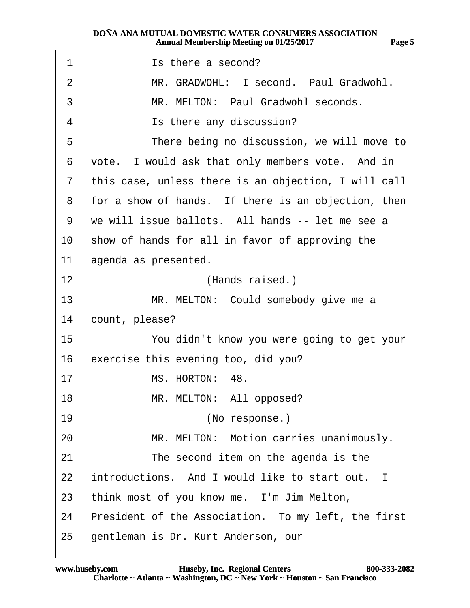<span id="page-4-0"></span>

| 1  | Is there a second?                                   |
|----|------------------------------------------------------|
| 2  | MR. GRADWOHL: I second. Paul Gradwohl.               |
| 3  | MR. MELTON: Paul Gradwohl seconds.                   |
| 4  | Is there any discussion?                             |
| 5  | There being no discussion, we will move to           |
| 6  | vote. I would ask that only members vote. And in     |
| 7  | this case, unless there is an objection, I will call |
| 8  | for a show of hands. If there is an objection, then  |
| 9  | we will issue ballots. All hands -- let me see a     |
| 10 | show of hands for all in favor of approving the      |
| 11 | agenda as presented.                                 |
| 12 | (Hands raised.)                                      |
| 13 | MR. MELTON: Could somebody give me a                 |
| 14 | count, please?                                       |
| 15 | You didn't know you were going to get your           |
| 16 | exercise this evening too, did you?                  |
| 17 | MS. HORTON: 48.                                      |
| 18 | MR. MELTON: All opposed?                             |
| 19 | (No response.)                                       |
| 20 | MR. MELTON: Motion carries unanimously.              |
| 21 | The second item on the agenda is the                 |
| 22 | introductions. And I would like to start out. I      |
| 23 | think most of you know me. I'm Jim Melton,           |
| 24 | President of the Association. To my left, the first  |
| 25 | gentleman is Dr. Kurt Anderson, our                  |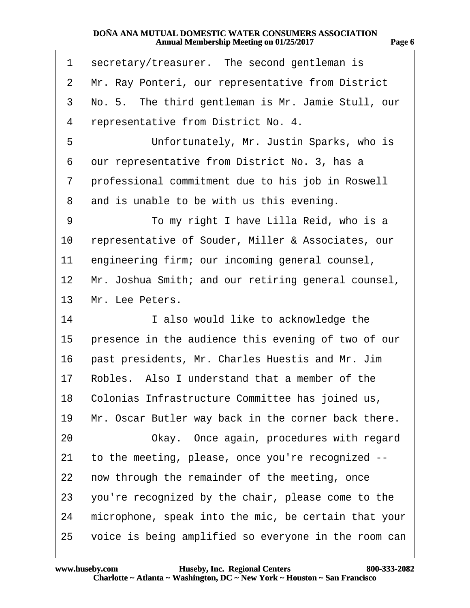| 11 M |  |
|------|--|
|      |  |

<span id="page-5-0"></span>

| 1                 | secretary/treasurer. The second gentleman is         |
|-------------------|------------------------------------------------------|
| 2                 | Mr. Ray Ponteri, our representative from District    |
| 3                 | No. 5. The third gentleman is Mr. Jamie Stull, our   |
| 4                 | representative from District No. 4.                  |
| 5                 | Unfortunately, Mr. Justin Sparks, who is             |
| 6                 | our representative from District No. 3, has a        |
| 7                 | professional commitment due to his job in Roswell    |
| 8                 | and is unable to be with us this evening.            |
| 9                 | To my right I have Lilla Reid, who is a              |
| 10                | representative of Souder, Miller & Associates, our   |
| 11                | engineering firm; our incoming general counsel,      |
| $12 \overline{ }$ | Mr. Joshua Smith; and our retiring general counsel,  |
| 13                | Mr. Lee Peters.                                      |
| 14                | I also would like to acknowledge the                 |
| 15                | presence in the audience this evening of two of our  |
| 16                | past presidents, Mr. Charles Huestis and Mr. Jim     |
| 17                | Robles. Also I understand that a member of the       |
|                   | 18 Colonias Infrastructure Committee has joined us,  |
| 19                | Mr. Oscar Butler way back in the corner back there.  |
| 20                | Okay. Once again, procedures with regard             |
| 21                | to the meeting, please, once you're recognized --    |
| 22                | now through the remainder of the meeting, once       |
| 23                | you're recognized by the chair, please come to the   |
| 24                | microphone, speak into the mic, be certain that your |
| 25                | voice is being amplified so everyone in the room can |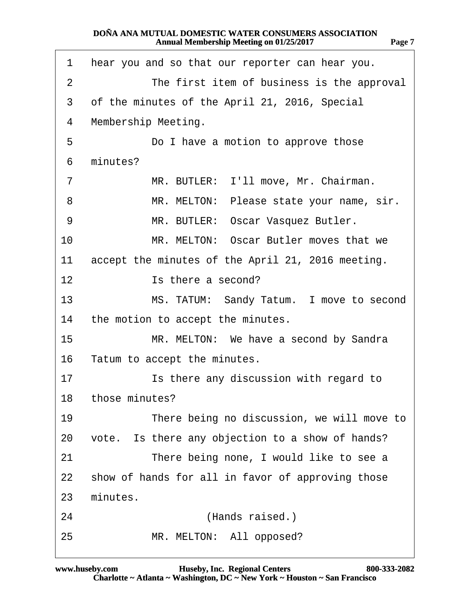<span id="page-6-0"></span>

| The first item of business is the approval<br>2<br>3<br>of the minutes of the April 21, 2016, Special<br>Membership Meeting.<br>4<br>5<br>Do I have a motion to approve those<br>minutes?<br>6 |  |
|------------------------------------------------------------------------------------------------------------------------------------------------------------------------------------------------|--|
|                                                                                                                                                                                                |  |
|                                                                                                                                                                                                |  |
|                                                                                                                                                                                                |  |
|                                                                                                                                                                                                |  |
|                                                                                                                                                                                                |  |
| MR. BUTLER: I'll move, Mr. Chairman.<br>$\overline{7}$                                                                                                                                         |  |
| MR. MELTON: Please state your name, sir.<br>8                                                                                                                                                  |  |
| MR. BUTLER: Oscar Vasquez Butler.<br>9                                                                                                                                                         |  |
| 10<br>MR. MELTON: Oscar Butler moves that we                                                                                                                                                   |  |
| accept the minutes of the April 21, 2016 meeting.<br>11                                                                                                                                        |  |
| 12<br>Is there a second?                                                                                                                                                                       |  |
| 13<br>MS. TATUM: Sandy Tatum. I move to second                                                                                                                                                 |  |
| the motion to accept the minutes.<br>14                                                                                                                                                        |  |
| 15<br>MR. MELTON: We have a second by Sandra                                                                                                                                                   |  |
| 16<br>Tatum to accept the minutes.                                                                                                                                                             |  |
| 17<br>Is there any discussion with regard to                                                                                                                                                   |  |
| 18 those minutes?                                                                                                                                                                              |  |
| 19<br>There being no discussion, we will move to                                                                                                                                               |  |
| vote. Is there any objection to a show of hands?<br>20                                                                                                                                         |  |
| 21<br>There being none, I would like to see a                                                                                                                                                  |  |
| show of hands for all in favor of approving those<br>22                                                                                                                                        |  |
| minutes.<br>23                                                                                                                                                                                 |  |
| 24<br>(Hands raised.)                                                                                                                                                                          |  |
| MR. MELTON: All opposed?<br>25                                                                                                                                                                 |  |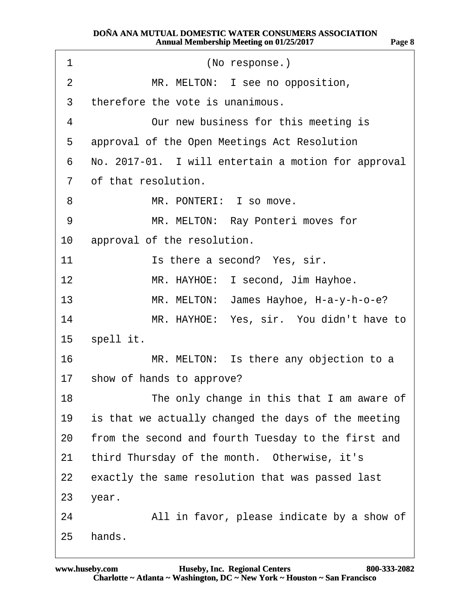<span id="page-7-0"></span>

| 1              | (No response.)                                      |
|----------------|-----------------------------------------------------|
| $\overline{2}$ | MR. MELTON: I see no opposition,                    |
| 3              | therefore the vote is unanimous.                    |
| 4              | Our new business for this meeting is                |
| 5              | approval of the Open Meetings Act Resolution        |
| 6              | No. 2017-01. I will entertain a motion for approval |
| $\overline{7}$ | of that resolution.                                 |
| 8              | MR. PONTERI: I so move.                             |
| 9              | MR. MELTON: Ray Ponteri moves for                   |
| 10             | approval of the resolution.                         |
| 11             | Is there a second? Yes, sir.                        |
| $12 \,$        | MR. HAYHOE: I second, Jim Hayhoe.                   |
| 13             | MR. MELTON: James Hayhoe, H-a-y-h-o-e?              |
| 14             | MR. HAYHOE: Yes, sir. You didn't have to            |
|                | 15 spell it.                                        |
| 16             | MR. MELTON: Is there any objection to a             |
|                | 17 show of hands to approve?                        |
| 18             | The only change in this that I am aware of          |
| 19             | is that we actually changed the days of the meeting |
| 20             | from the second and fourth Tuesday to the first and |
| 21             | third Thursday of the month. Otherwise, it's        |
| 22             | exactly the same resolution that was passed last    |
| 23             | year.                                               |
| 24             | All in favor, please indicate by a show of          |
| 25             | hands.                                              |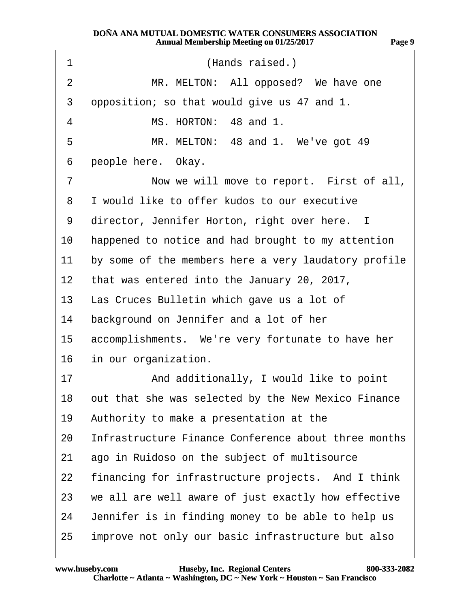<span id="page-8-0"></span>

| 1  | (Hands raised.)                                      |
|----|------------------------------------------------------|
| 2  | MR. MELTON: All opposed? We have one                 |
| 3  | opposition; so that would give us 47 and 1.          |
| 4  | MS. HORTON: 48 and 1.                                |
| 5  | MR. MELTON: 48 and 1. We've got 49                   |
| 6  | people here. Okay.                                   |
| 7  | Now we will move to report. First of all,            |
| 8  | I would like to offer kudos to our executive         |
| 9  | director, Jennifer Horton, right over here. I        |
| 10 | happened to notice and had brought to my attention   |
| 11 | by some of the members here a very laudatory profile |
|    | 12 that was entered into the January 20, 2017,       |
|    | 13 Las Cruces Bulletin which gave us a lot of        |
| 14 | background on Jennifer and a lot of her              |
| 15 | accomplishments. We're very fortunate to have her    |
| 16 | in our organization.                                 |
| 17 | And additionally, I would like to point              |
| 18 | out that she was selected by the New Mexico Finance  |
| 19 | Authority to make a presentation at the              |
| 20 | Infrastructure Finance Conference about three months |
| 21 | ago in Ruidoso on the subject of multisource         |
| 22 | financing for infrastructure projects. And I think   |
| 23 | we all are well aware of just exactly how effective  |
| 24 | Jennifer is in finding money to be able to help us   |
| 25 | improve not only our basic infrastructure but also   |

**Page 9**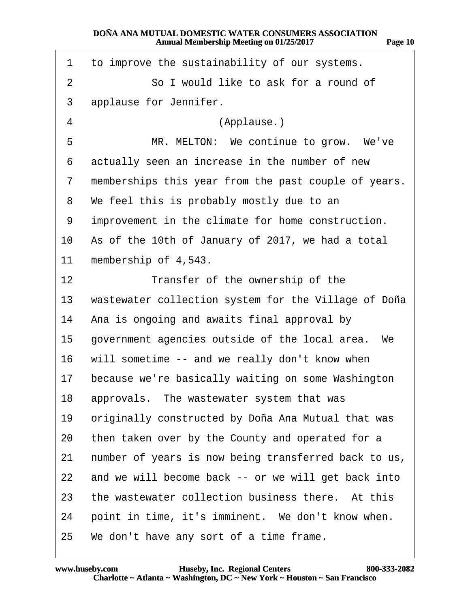<span id="page-9-0"></span>

| 1              | to improve the sustainability of our systems.        |
|----------------|------------------------------------------------------|
| $\overline{2}$ | So I would like to ask for a round of                |
| 3              | applause for Jennifer.                               |
| 4              | (Applause.)                                          |
| 5              | MR. MELTON: We continue to grow. We've               |
| 6              | actually seen an increase in the number of new       |
| 7              | memberships this year from the past couple of years. |
| 8              | We feel this is probably mostly due to an            |
| 9              | improvement in the climate for home construction.    |
| 10             | As of the 10th of January of 2017, we had a total    |
| 11             | membership of 4,543.                                 |
| 12             | Transfer of the ownership of the                     |
| 13             | wastewater collection system for the Village of Doña |
| 14             | Ana is ongoing and awaits final approval by          |
| 15             | government agencies outside of the local area. We    |
| 16             | will sometime -- and we really don't know when       |
| 17             | because we're basically waiting on some Washington   |
| 18             | approvals. The wastewater system that was            |
| 19             | originally constructed by Doña Ana Mutual that was   |
| 20             | then taken over by the County and operated for a     |
| 21             | number of years is now being transferred back to us, |
| 22             | and we will become back -- or we will get back into  |
| 23             | the wastewater collection business there. At this    |
| 24             | point in time, it's imminent. We don't know when.    |
| 25             | We don't have any sort of a time frame.              |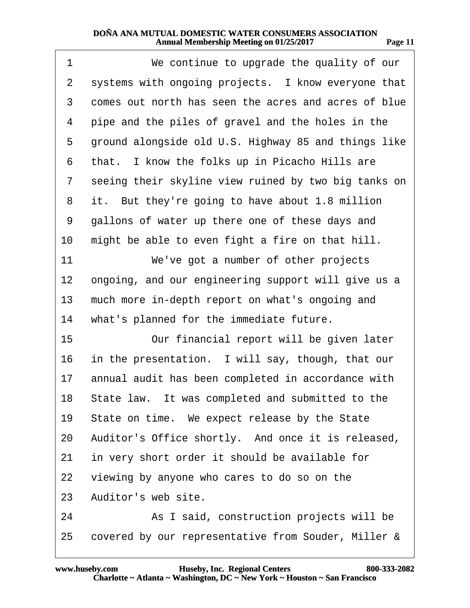<span id="page-10-0"></span>

| 1                 | We continue to upgrade the quality of our            |
|-------------------|------------------------------------------------------|
| $\overline{2}$    | systems with ongoing projects. I know everyone that  |
| 3                 | comes out north has seen the acres and acres of blue |
| 4                 | pipe and the piles of gravel and the holes in the    |
| 5                 | ground alongside old U.S. Highway 85 and things like |
| 6                 | that. I know the folks up in Picacho Hills are       |
| 7                 | seeing their skyline view ruined by two big tanks on |
| 8                 | it. But they're going to have about 1.8 million      |
| 9                 | gallons of water up there one of these days and      |
| 10                | might be able to even fight a fire on that hill.     |
| 11                | We've got a number of other projects                 |
| $12 \overline{ }$ | ongoing, and our engineering support will give us a  |
| 13                | much more in-depth report on what's ongoing and      |
| 14                | what's planned for the immediate future.             |
| 15                | Our financial report will be given later             |
| 16                | in the presentation. I will say, though, that our    |
| 17                | annual audit has been completed in accordance with   |
|                   | 18 State law. It was completed and submitted to the  |
| 19                | State on time. We expect release by the State        |
| 20                | Auditor's Office shortly. And once it is released,   |
| 21                | in very short order it should be available for       |
| 22                | viewing by anyone who cares to do so on the          |
| 23                | Auditor's web site.                                  |
| 24                | As I said, construction projects will be             |
| 25                | covered by our representative from Souder, Miller &  |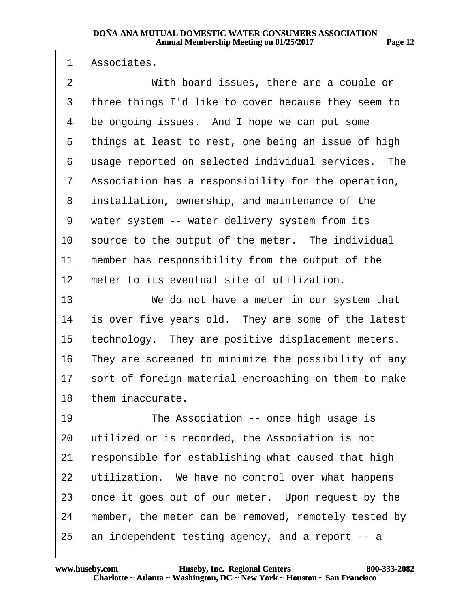<span id="page-11-0"></span>1 Associates.

2 With board issues, there are a couple or 3 three things I'd like to cover because they seem to 4 be ongoing issues. And I hope we can put some 5 things at least to rest, one being an issue of high 6 usage reported on selected individual services. The 7 Association has a responsibility for the operation, 8 installation, ownership, and maintenance of the 9 water system -- water delivery system from its 10 source to the output of the meter. The individual 11 member has responsibility from the output of the 12 meter to its eventual site of utilization. 13 We do not have a meter in our system that 14 is over five years old. They are some of the latest 15 technology. They are positive displacement meters. 16 They are screened to minimize the possibility of any 17 sort of foreign material encroaching on them to make 18 them inaccurate. 19 **• The Association -- once high usage is** 20 utilized or is recorded, the Association is not 21 responsible for establishing what caused that high 22 utilization. We have no control over what happens 23 once it goes out of our meter. Upon request by the 24 member, the meter can be removed, remotely tested by 25 an independent testing agency, and a report -- a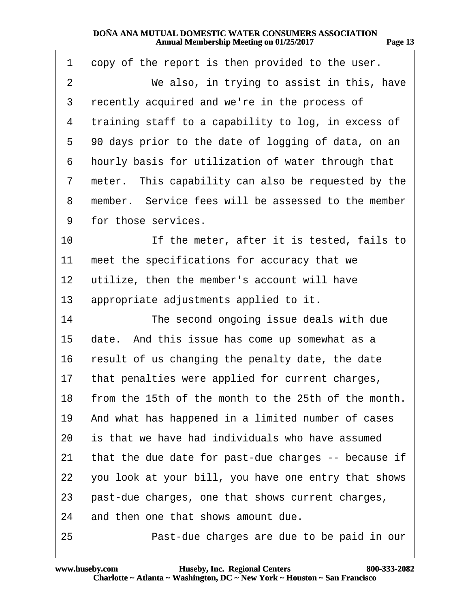<span id="page-12-0"></span>

| 1  | copy of the report is then provided to the user.        |
|----|---------------------------------------------------------|
| 2  | We also, in trying to assist in this, have              |
| 3  | recently acquired and we're in the process of           |
| 4  | training staff to a capability to log, in excess of     |
| 5  | 90 days prior to the date of logging of data, on an     |
| 6  | hourly basis for utilization of water through that      |
| 7  | meter. This capability can also be requested by the     |
| 8  | member. Service fees will be assessed to the member     |
| 9  | for those services.                                     |
| 10 | If the meter, after it is tested, fails to              |
| 11 | meet the specifications for accuracy that we            |
| 12 | utilize, then the member's account will have            |
| 13 | appropriate adjustments applied to it.                  |
| 14 | The second ongoing issue deals with due                 |
| 15 | date. And this issue has come up somewhat as a          |
| 16 | result of us changing the penalty date, the date        |
| 17 | that penalties were applied for current charges,        |
|    | 18 from the 15th of the month to the 25th of the month. |
| 19 | And what has happened in a limited number of cases      |
| 20 | is that we have had individuals who have assumed        |
| 21 | that the due date for past-due charges -- because if    |
| 22 | you look at your bill, you have one entry that shows    |
| 23 | past-due charges, one that shows current charges,       |
| 24 | and then one that shows amount due.                     |
| 25 | Past-due charges are due to be paid in our              |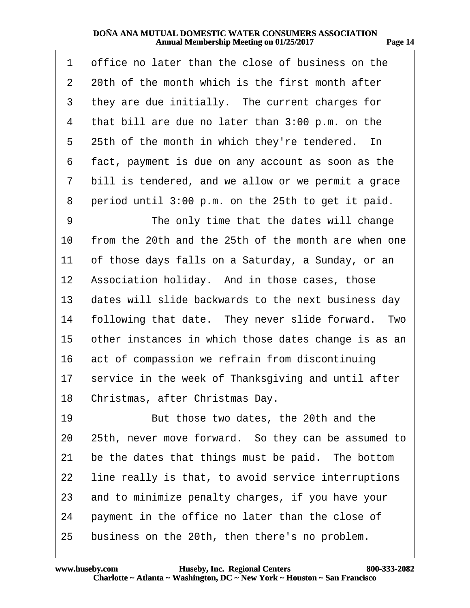<span id="page-13-0"></span>

| 1               | office no later than the close of business on the    |
|-----------------|------------------------------------------------------|
| $\overline{2}$  | 20th of the month which is the first month after     |
| 3               | they are due initially. The current charges for      |
| 4               | that bill are due no later than 3:00 p.m. on the     |
| 5               | 25th of the month in which they're tendered. In      |
| 6               | fact, payment is due on any account as soon as the   |
| 7               | bill is tendered, and we allow or we permit a grace  |
| 8               | period until 3:00 p.m. on the 25th to get it paid.   |
| 9               | The only time that the dates will change             |
| 10              | from the 20th and the 25th of the month are when one |
| 11              | of those days falls on a Saturday, a Sunday, or an   |
| 12 <sub>2</sub> | Association holiday. And in those cases, those       |
| 13              | dates will slide backwards to the next business day  |
| 14              | following that date. They never slide forward. Two   |
| 15              | other instances in which those dates change is as an |
| 16              | act of compassion we refrain from discontinuing      |
| 17              | service in the week of Thanksgiving and until after  |
|                 | 18 Christmas, after Christmas Day.                   |
| 19              | But those two dates, the 20th and the                |
| 20              | 25th, never move forward. So they can be assumed to  |
| 21              | be the dates that things must be paid. The bottom    |
| 22              | line really is that, to avoid service interruptions  |
| 23              | and to minimize penalty charges, if you have your    |
| 24              | payment in the office no later than the close of     |
| 25              | business on the 20th, then there's no problem.       |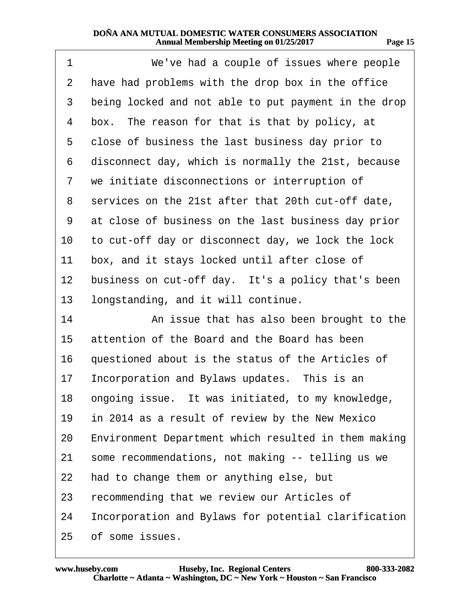<span id="page-14-0"></span>

| 1  | We've had a couple of issues where people            |
|----|------------------------------------------------------|
| 2  | have had problems with the drop box in the office    |
| 3  | being locked and not able to put payment in the drop |
| 4  | box. The reason for that is that by policy, at       |
| 5  | close of business the last business day prior to     |
| 6  | disconnect day, which is normally the 21st, because  |
| 7  | we initiate disconnections or interruption of        |
| 8  | services on the 21st after that 20th cut-off date,   |
| 9  | at close of business on the last business day prior  |
| 10 | to cut-off day or disconnect day, we lock the lock   |
| 11 | box, and it stays locked until after close of        |
| 12 | business on cut-off day. It's a policy that's been   |
| 13 | longstanding, and it will continue.                  |
| 14 | An issue that has also been brought to the           |
| 15 | attention of the Board and the Board has been        |
| 16 | questioned about is the status of the Articles of    |
| 17 | Incorporation and Bylaws updates. This is an         |
|    | 18 ongoing issue. It was initiated, to my knowledge, |
| 19 | in 2014 as a result of review by the New Mexico      |
| 20 | Environment Department which resulted in them making |
| 21 | some recommendations, not making -- telling us we    |
| 22 | had to change them or anything else, but             |
| 23 | recommending that we review our Articles of          |
| 24 | Incorporation and Bylaws for potential clarification |
| 25 | of some issues.                                      |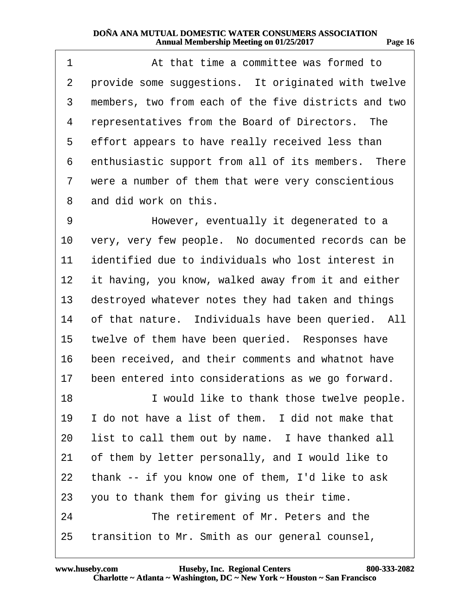<span id="page-15-0"></span>

| 1              | At that time a committee was formed to               |
|----------------|------------------------------------------------------|
| 2              | provide some suggestions. It originated with twelve  |
| 3              | members, two from each of the five districts and two |
| 4              | representatives from the Board of Directors. The     |
| 5              | effort appears to have really received less than     |
| 6              | enthusiastic support from all of its members. There  |
| $\overline{7}$ | were a number of them that were very conscientious   |
| 8              | and did work on this.                                |
| 9              | However, eventually it degenerated to a              |
| 10             | very, very few people. No documented records can be  |
| 11             | identified due to individuals who lost interest in   |
| 12             | it having, you know, walked away from it and either  |
| 13             | destroyed whatever notes they had taken and things   |
| 14             | of that nature. Individuals have been queried. All   |
| 15             | twelve of them have been queried. Responses have     |
| 16             | been received, and their comments and whatnot have   |
| 17             | been entered into considerations as we go forward.   |
| 18             | I would like to thank those twelve people.           |
| 19             | I do not have a list of them. I did not make that    |
| 20             | list to call them out by name. I have thanked all    |
| 21             | of them by letter personally, and I would like to    |
| 22             | thank -- if you know one of them, I'd like to ask    |
| 23             | you to thank them for giving us their time.          |
| 24             | The retirement of Mr. Peters and the                 |
| 25             | transition to Mr. Smith as our general counsel,      |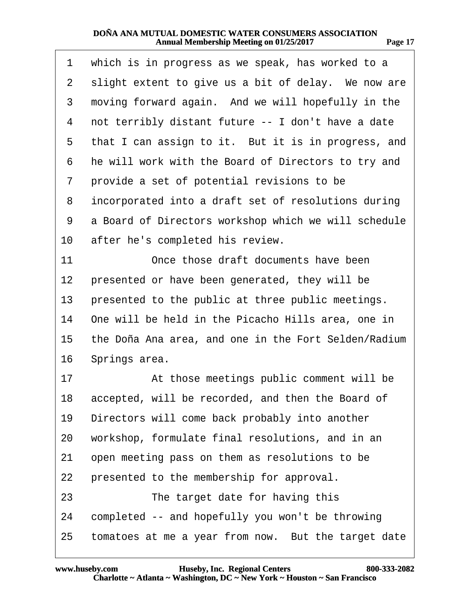<span id="page-16-0"></span>

| 1  | which is in progress as we speak, has worked to a    |
|----|------------------------------------------------------|
| 2  | slight extent to give us a bit of delay. We now are  |
| 3  | moving forward again. And we will hopefully in the   |
| 4  | not terribly distant future -- I don't have a date   |
| 5  | that I can assign to it. But it is in progress, and  |
| 6  | he will work with the Board of Directors to try and  |
| 7  | provide a set of potential revisions to be           |
| 8  | incorporated into a draft set of resolutions during  |
| 9  | a Board of Directors workshop which we will schedule |
| 10 | after he's completed his review.                     |
| 11 | Once those draft documents have been                 |
| 12 | presented or have been generated, they will be       |
| 13 | presented to the public at three public meetings.    |
| 14 | One will be held in the Picacho Hills area, one in   |
| 15 | the Doña Ana area, and one in the Fort Selden/Radium |
| 16 | Springs area.                                        |
| 17 | At those meetings public comment will be             |
| 18 | accepted, will be recorded, and then the Board of    |
| 19 | Directors will come back probably into another       |
| 20 | workshop, formulate final resolutions, and in an     |
| 21 | open meeting pass on them as resolutions to be       |
| 22 | presented to the membership for approval.            |
| 23 | The target date for having this                      |
| 24 | completed -- and hopefully you won't be throwing     |
| 25 | tomatoes at me a year from now. But the target date  |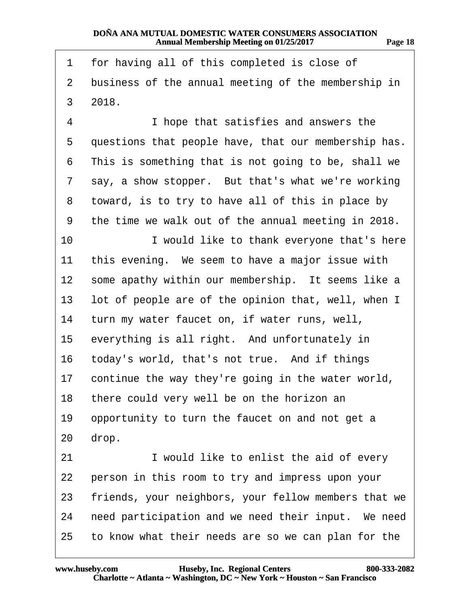<span id="page-17-0"></span>

| 1               | for having all of this completed is close of         |
|-----------------|------------------------------------------------------|
| $\overline{2}$  | business of the annual meeting of the membership in  |
| 3               | 2018.                                                |
| 4               | I hope that satisfies and answers the                |
| 5               | questions that people have, that our membership has. |
| 6               | This is something that is not going to be, shall we  |
| 7               | say, a show stopper. But that's what we're working   |
| 8               | toward, is to try to have all of this in place by    |
| 9               | the time we walk out of the annual meeting in 2018.  |
| 10              | I would like to thank everyone that's here           |
| 11              | this evening. We seem to have a major issue with     |
| 12 <sub>2</sub> | some apathy within our membership. It seems like a   |
| 13              | lot of people are of the opinion that, well, when I  |
| 14              | turn my water faucet on, if water runs, well,        |
| 15              | everything is all right. And unfortunately in        |
| 16              | today's world, that's not true. And if things        |
| 17              | continue the way they're going in the water world,   |
| 18              | there could very well be on the horizon an           |
| 19              | opportunity to turn the faucet on and not get a      |
| 20              | drop.                                                |
| 21              | I would like to enlist the aid of every              |
| 22              | person in this room to try and impress upon your     |
| 23              | friends, your neighbors, your fellow members that we |
| 24              | need participation and we need their input. We need  |
| 25              | to know what their needs are so we can plan for the  |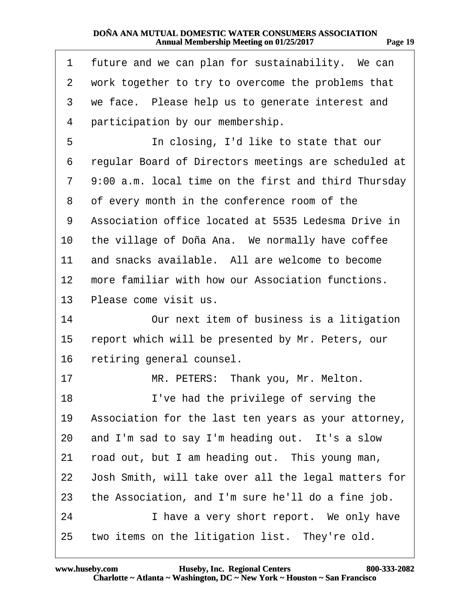<span id="page-18-0"></span>

| 1              | future and we can plan for sustainability. We can    |
|----------------|------------------------------------------------------|
| $\overline{2}$ | work together to try to overcome the problems that   |
| 3              | we face. Please help us to generate interest and     |
| 4              | participation by our membership.                     |
| 5              | In closing, I'd like to state that our               |
| 6              | regular Board of Directors meetings are scheduled at |
| 7              | 9:00 a.m. local time on the first and third Thursday |
| 8              | of every month in the conference room of the         |
| 9              | Association office located at 5535 Ledesma Drive in  |
| 10             | the village of Doña Ana. We normally have coffee     |
| 11             | and snacks available. All are welcome to become      |
| 12             | more familiar with how our Association functions.    |
| 13             | Please come visit us.                                |
| 14             | Our next item of business is a litigation            |
| 15             | report which will be presented by Mr. Peters, our    |
| 16             | retiring general counsel.                            |
| 17             | MR. PETERS: Thank you, Mr. Melton.                   |
| 18             | I've had the privilege of serving the                |
| 19             | Association for the last ten years as your attorney, |
| 20             | and I'm sad to say I'm heading out. It's a slow      |
| 21             | road out, but I am heading out. This young man,      |
| 22             | Josh Smith, will take over all the legal matters for |
| 23             | the Association, and I'm sure he'll do a fine job.   |
| 24             | I have a very short report. We only have             |
| 25             | two items on the litigation list. They're old.       |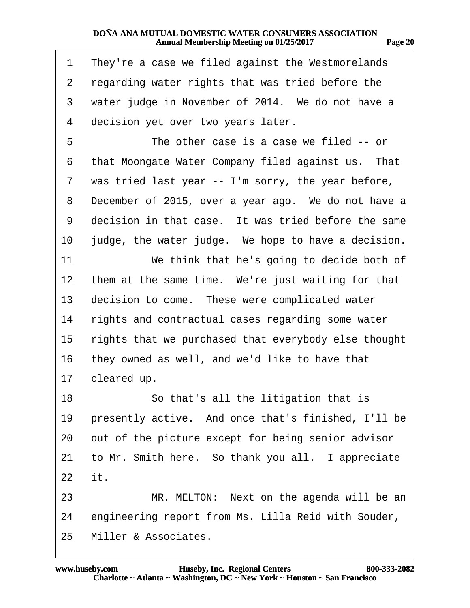<span id="page-19-0"></span>

| 1              | They're a case we filed against the Westmorelands    |
|----------------|------------------------------------------------------|
| $\overline{2}$ | regarding water rights that was tried before the     |
| 3              | water judge in November of 2014. We do not have a    |
| 4              | decision yet over two years later.                   |
| 5              | The other case is a case we filed -- or              |
| 6              | that Moongate Water Company filed against us. That   |
| 7              | was tried last year -- I'm sorry, the year before,   |
| 8              | December of 2015, over a year ago. We do not have a  |
| 9              | decision in that case. It was tried before the same  |
| 10             | judge, the water judge. We hope to have a decision.  |
| 11             | We think that he's going to decide both of           |
| $12 \,$        | them at the same time. We're just waiting for that   |
| 13             | decision to come. These were complicated water       |
| 14             | rights and contractual cases regarding some water    |
| 15             | rights that we purchased that everybody else thought |
| 16             | they owned as well, and we'd like to have that       |
| 17             | cleared up.                                          |
| 18             | So that's all the litigation that is                 |
| 19             | presently active. And once that's finished, I'll be  |
| 20             | out of the picture except for being senior advisor   |
| 21             | to Mr. Smith here. So thank you all. I appreciate    |
| 22 it.         |                                                      |
| 23             | MR. MELTON: Next on the agenda will be an            |
| 24             | engineering report from Ms. Lilla Reid with Souder,  |
| 25             | Miller & Associates.                                 |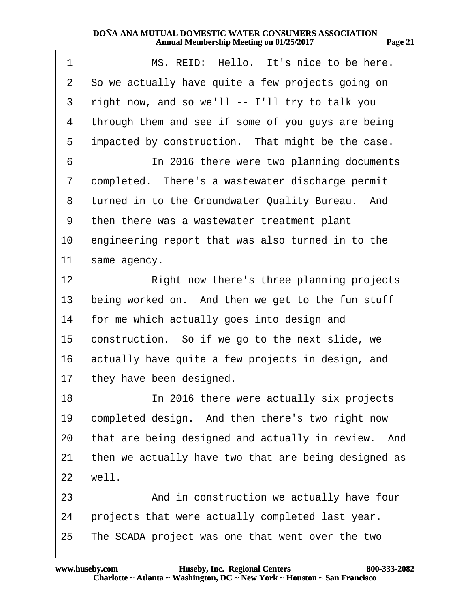<span id="page-20-0"></span>

| 1                | MS. REID: Hello. It's nice to be here.               |
|------------------|------------------------------------------------------|
| 2                | So we actually have quite a few projects going on    |
| 3                | right now, and so we'll -- I'll try to talk you      |
| 4                | through them and see if some of you guys are being   |
| 5                | impacted by construction. That might be the case.    |
| 6                | In 2016 there were two planning documents            |
| 7                | completed. There's a wastewater discharge permit     |
| 8                | turned in to the Groundwater Quality Bureau. And     |
| 9                | then there was a wastewater treatment plant          |
| 10               | engineering report that was also turned in to the    |
| 11               | same agency.                                         |
| 12 <sub>2</sub>  | Right now there's three planning projects            |
| 13               | being worked on. And then we get to the fun stuff    |
| 14               | for me which actually goes into design and           |
| 15 <sup>15</sup> | construction. So if we go to the next slide, we      |
| 16               | actually have quite a few projects in design, and    |
| 17               | they have been designed.                             |
| 18               | In 2016 there were actually six projects             |
| 19               | completed design. And then there's two right now     |
| 20               | that are being designed and actually in review. And  |
| 21               | then we actually have two that are being designed as |
| 22               | well.                                                |
| 23               | And in construction we actually have four            |
| 24               | projects that were actually completed last year.     |
| 25               | The SCADA project was one that went over the two     |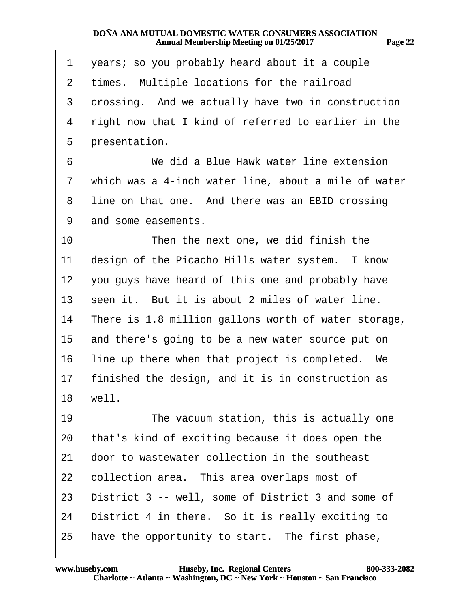<span id="page-21-0"></span>

| 1  | years; so you probably heard about it a couple       |
|----|------------------------------------------------------|
| 2  | times. Multiple locations for the railroad           |
| 3  | crossing. And we actually have two in construction   |
| 4  | right now that I kind of referred to earlier in the  |
| 5  | presentation.                                        |
| 6  | We did a Blue Hawk water line extension              |
| 7  | which was a 4-inch water line, about a mile of water |
| 8  | line on that one. And there was an EBID crossing     |
| 9  | and some easements.                                  |
| 10 | Then the next one, we did finish the                 |
| 11 | design of the Picacho Hills water system. I know     |
| 12 | you guys have heard of this one and probably have    |
| 13 | seen it. But it is about 2 miles of water line.      |
| 14 | There is 1.8 million gallons worth of water storage, |
| 15 | and there's going to be a new water source put on    |
| 16 | line up there when that project is completed. We     |
| 17 | finished the design, and it is in construction as    |
| 18 | well.                                                |
| 19 | The vacuum station, this is actually one             |
| 20 | that's kind of exciting because it does open the     |
| 21 | door to wastewater collection in the southeast       |
| 22 | collection area. This area overlaps most of          |
| 23 | District 3 -- well, some of District 3 and some of   |
| 24 | District 4 in there. So it is really exciting to     |
| 25 | have the opportunity to start. The first phase,      |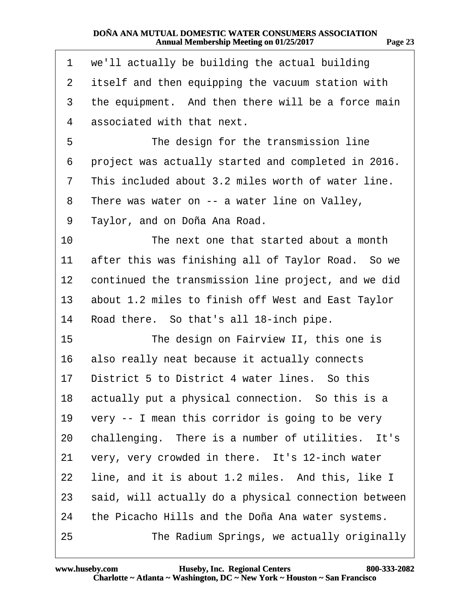<span id="page-22-0"></span>

| 1               | we'll actually be building the actual building       |
|-----------------|------------------------------------------------------|
| $\mathbf{2}$    | itself and then equipping the vacuum station with    |
| 3               | the equipment. And then there will be a force main   |
| 4               | associated with that next.                           |
| 5               | The design for the transmission line                 |
| 6               | project was actually started and completed in 2016.  |
| 7               | This included about 3.2 miles worth of water line.   |
| 8               | There was water on -- a water line on Valley,        |
| 9               | Taylor, and on Doña Ana Road.                        |
| 10              | The next one that started about a month              |
| 11              | after this was finishing all of Taylor Road. So we   |
| 12 <sup>1</sup> | continued the transmission line project, and we did  |
| 13              | about 1.2 miles to finish off West and East Taylor   |
| 14              | Road there. So that's all 18-inch pipe.              |
| 15              | The design on Fairview II, this one is               |
| 16              | also really neat because it actually connects        |
| 17              | District 5 to District 4 water lines. So this        |
| 18              | actually put a physical connection. So this is a     |
| 19              | very -- I mean this corridor is going to be very     |
| 20              | challenging. There is a number of utilities. It's    |
| 21              | very, very crowded in there. It's 12-inch water      |
| 22              | line, and it is about 1.2 miles. And this, like I    |
| 23              | said, will actually do a physical connection between |
| 24              | the Picacho Hills and the Doña Ana water systems.    |
| 25              | The Radium Springs, we actually originally           |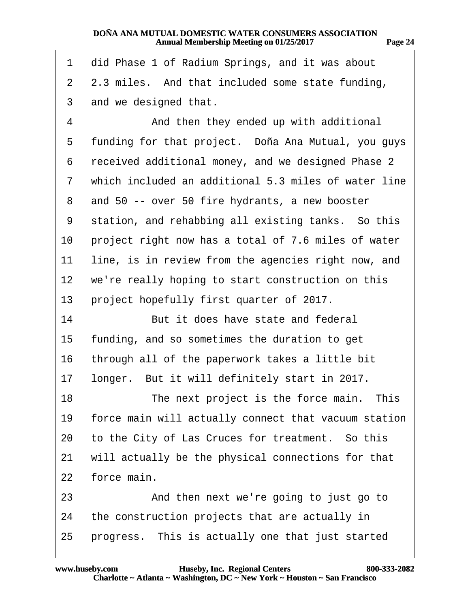<span id="page-23-0"></span>

| 1              | did Phase 1 of Radium Springs, and it was about      |
|----------------|------------------------------------------------------|
| $\overline{2}$ | 2.3 miles. And that included some state funding,     |
| 3              | and we designed that.                                |
| 4              | And then they ended up with additional               |
| 5              | funding for that project. Doña Ana Mutual, you guys  |
| 6              | received additional money, and we designed Phase 2   |
| 7              | which included an additional 5.3 miles of water line |
| 8              | and 50 -- over 50 fire hydrants, a new booster       |
| 9              | station, and rehabbing all existing tanks. So this   |
| 10             | project right now has a total of 7.6 miles of water  |
| 11             | line, is in review from the agencies right now, and  |
| $12 \,$        | we're really hoping to start construction on this    |
| 13             | project hopefully first quarter of 2017.             |
| 14             | But it does have state and federal                   |
| 15             | funding, and so sometimes the duration to get        |
| 16             | through all of the paperwork takes a little bit      |
| 17             | longer. But it will definitely start in 2017.        |
| 18             | The next project is the force main. This             |
| 19             | force main will actually connect that vacuum station |
| 20             | to the City of Las Cruces for treatment. So this     |
| 21             | will actually be the physical connections for that   |
| 22             | force main.                                          |
| 23             | And then next we're going to just go to              |
| 24             | the construction projects that are actually in       |
| 25             | progress. This is actually one that just started     |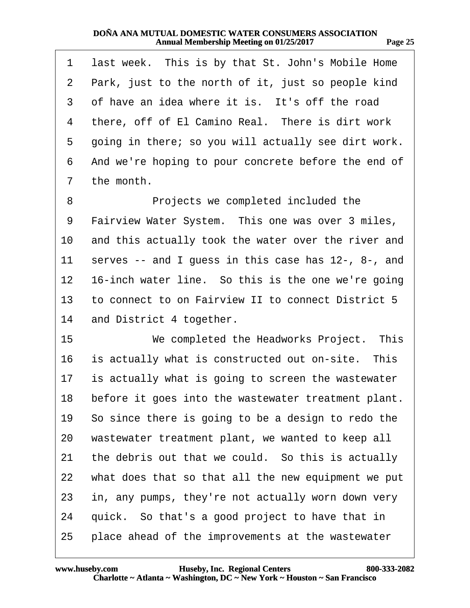<span id="page-24-0"></span>

| 1               | last week. This is by that St. John's Mobile Home   |
|-----------------|-----------------------------------------------------|
| $\overline{2}$  | Park, just to the north of it, just so people kind  |
| 3               | of have an idea where it is. It's off the road      |
| 4               | there, off of El Camino Real. There is dirt work    |
| 5               | going in there; so you will actually see dirt work. |
| 6               | And we're hoping to pour concrete before the end of |
| 7               | the month.                                          |
| 8               | Projects we completed included the                  |
| 9               | Fairview Water System. This one was over 3 miles,   |
| 10              | and this actually took the water over the river and |
| 11              | serves -- and I guess in this case has 12-, 8-, and |
| 12 <sub>2</sub> | 16-inch water line. So this is the one we're going  |
| 13              | to connect to on Fairview II to connect District 5  |
| 14              | and District 4 together.                            |
| 15              | We completed the Headworks Project. This            |
| 16              | is actually what is constructed out on-site. This   |
| 17              | is actually what is going to screen the wastewater  |
| 18              | before it goes into the wastewater treatment plant. |
| 19              | So since there is going to be a design to redo the  |
| 20              | wastewater treatment plant, we wanted to keep all   |
| 21              | the debris out that we could. So this is actually   |
| 22              | what does that so that all the new equipment we put |
| 23              | in, any pumps, they're not actually worn down very  |
| 24              | quick. So that's a good project to have that in     |
| 25              | place ahead of the improvements at the wastewater   |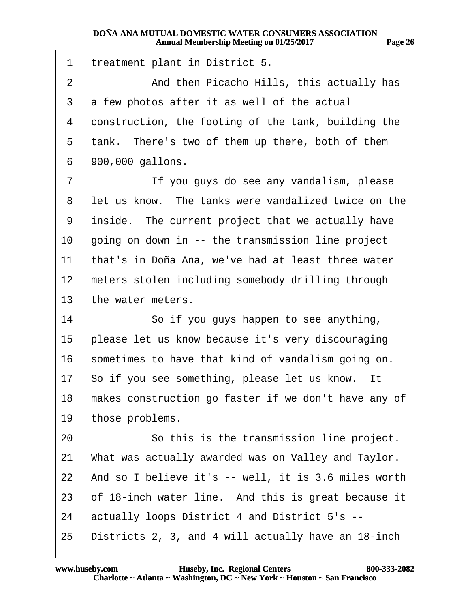<span id="page-25-0"></span>1 treatment plant in District 5. 2 **2** And then Picacho Hills, this actually has 3 a few photos after it as well of the actual 4 construction, the footing of the tank, building the 5 tank. There's two of them up there, both of them 6 900,000 gallons. 7 **If you guys do see any vandalism, please** 8 let us know. The tanks were vandalized twice on the 9 inside. The current project that we actually have

10 going on down in -- the transmission line project

11 that's in Doña Ana, we've had at least three water

12 meters stolen including somebody drilling through

13 the water meters.

14 **So if you guys happen to see anything,** 

15 please let us know because it's very discouraging

16 sometimes to have that kind of vandalism going on.

17 So if you see something, please let us know. It

18 makes construction go faster if we don't have any of

19 those problems.

20 **· · · · · So this is the transmission line project.** 

21 What was actually awarded was on Valley and Taylor.

22 And so I believe it's -- well, it is 3.6 miles worth

23 of 18-inch water line. And this is great because it

24 actually loops District 4 and District 5's --

25 Districts 2, 3, and 4 will actually have an 18-inch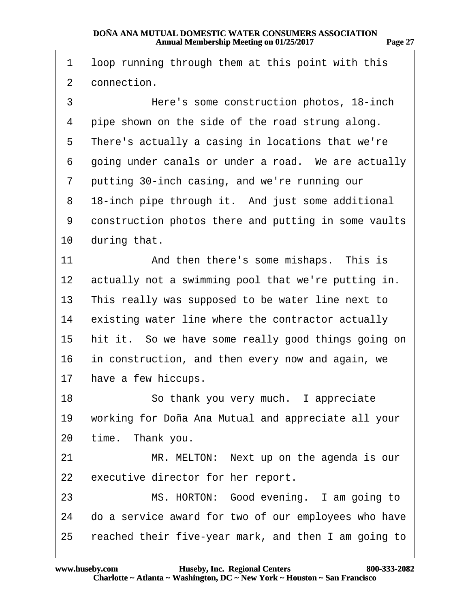<span id="page-26-0"></span>1 loop running through them at this point with this 2 connection. ·3· · · · · · ·Here's some construction photos, 18-inch 4 pipe shown on the side of the road strung along. 5 There's actually a casing in locations that we're 6 going under canals or under a road. We are actually 7 putting 30-inch casing, and we're running our 8 18-inch pipe through it. And just some additional 9 construction photos there and putting in some vaults 10 during that. 11 • **And then there's some mishaps.** This is 12 actually not a swimming pool that we're putting in. 13 This really was supposed to be water line next to 14 existing water line where the contractor actually 15 hit it. So we have some really good things going on 16 in construction, and then every now and again, we 17 have a few hiccups. 18 **· · · · So thank you very much.** I appreciate 19 working for Doña Ana Mutual and appreciate all your 20 time. Thank you. 21 MR. MELTON: Next up on the agenda is our 22 executive director for her report. 23 MS. HORTON: Good evening. I am going to 24 do a service award for two of our employees who have 25 reached their five-year mark, and then I am going to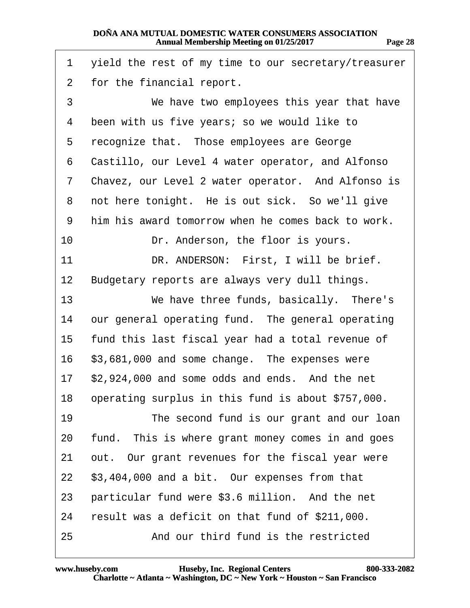<span id="page-27-0"></span>

| 1              | yield the rest of my time to our secretary/treasurer  |
|----------------|-------------------------------------------------------|
| $\overline{2}$ | for the financial report.                             |
| 3              | We have two employees this year that have             |
| 4              | been with us five years; so we would like to          |
| 5              | recognize that. Those employees are George            |
| 6              | Castillo, our Level 4 water operator, and Alfonso     |
| 7              | Chavez, our Level 2 water operator. And Alfonso is    |
| 8              | not here tonight. He is out sick. So we'll give       |
| 9              | him his award tomorrow when he comes back to work.    |
| 10             | Dr. Anderson, the floor is yours.                     |
| 11             | DR. ANDERSON: First, I will be brief.                 |
| 12             | Budgetary reports are always very dull things.        |
| 13             | We have three funds, basically. There's               |
| 14             | our general operating fund. The general operating     |
| 15             | fund this last fiscal year had a total revenue of     |
| 16             | \$3,681,000 and some change. The expenses were        |
| 17             | \$2,924,000 and some odds and ends. And the net       |
|                | 18 operating surplus in this fund is about \$757,000. |
| 19             | The second fund is our grant and our loan             |
| 20             | fund. This is where grant money comes in and goes     |
| 21             | out. Our grant revenues for the fiscal year were      |
| 22             | \$3,404,000 and a bit. Our expenses from that         |
| 23             | particular fund were \$3.6 million. And the net       |
| 24             | result was a deficit on that fund of \$211,000.       |
| 25             | And our third fund is the restricted                  |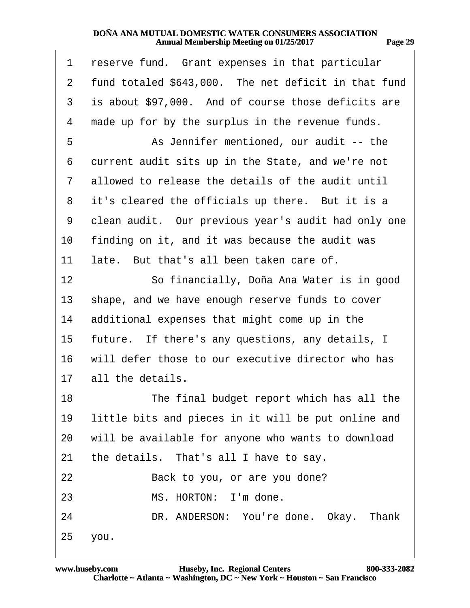<span id="page-28-0"></span>

| 1              | reserve fund. Grant expenses in that particular      |
|----------------|------------------------------------------------------|
| 2              | fund totaled \$643,000. The net deficit in that fund |
| 3              | is about \$97,000. And of course those deficits are  |
| 4              | made up for by the surplus in the revenue funds.     |
| 5              | As Jennifer mentioned, our audit -- the              |
| 6              | current audit sits up in the State, and we're not    |
| $\overline{7}$ | allowed to release the details of the audit until    |
| 8              | it's cleared the officials up there. But it is a     |
| 9              | clean audit. Our previous year's audit had only one  |
| 10             | finding on it, and it was because the audit was      |
| 11             | late. But that's all been taken care of.             |
| 12             | So financially, Doña Ana Water is in good            |
| 13             | shape, and we have enough reserve funds to cover     |
| 14             | additional expenses that might come up in the        |
| 15             | future. If there's any questions, any details, I     |
| 16             | will defer those to our executive director who has   |
| 17             | all the details.                                     |
| 18             | The final budget report which has all the            |
| 19             | little bits and pieces in it will be put online and  |
| 20             | will be available for anyone who wants to download   |
| 21             | the details. That's all I have to say.               |
| 22             | Back to you, or are you done?                        |
| 23             | MS. HORTON: I'm done.                                |
| 24             | DR. ANDERSON: You're done. Okay. Thank               |
|                | 25 you.                                              |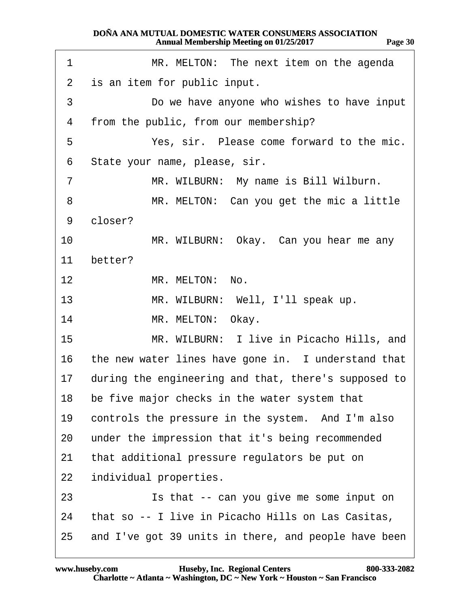<span id="page-29-0"></span>

| 1               | MR. MELTON: The next item on the agenda                 |
|-----------------|---------------------------------------------------------|
| $\overline{2}$  | is an item for public input.                            |
| 3               | Do we have anyone who wishes to have input              |
| 4               | from the public, from our membership?                   |
| 5               | Yes, sir. Please come forward to the mic.               |
| 6               | State your name, please, sir.                           |
| $\overline{7}$  | MR. WILBURN: My name is Bill Wilburn.                   |
| 8               | MR. MELTON: Can you get the mic a little                |
| 9               | closer?                                                 |
| $10-10$         | MR. WILBURN: Okay. Can you hear me any                  |
| 11              | better?                                                 |
| 12 <sub>2</sub> | MR. MELTON: No.                                         |
| 13              | MR. WILBURN: Well, I'll speak up.                       |
| 14              | MR. MELTON: Okay.                                       |
| 15              | MR. WILBURN: I live in Picacho Hills, and               |
|                 | 16 the new water lines have gone in. I understand that  |
|                 | 17 during the engineering and that, there's supposed to |
| 18.             | be five major checks in the water system that           |
| 19              | controls the pressure in the system. And I'm also       |
| 20              | under the impression that it's being recommended        |
| 21              | that additional pressure regulators be put on           |
| 22              | individual properties.                                  |
| 23              | Is that -- can you give me some input on                |
| 24              | that so -- I live in Picacho Hills on Las Casitas,      |
| 25              | and I've got 39 units in there, and people have been    |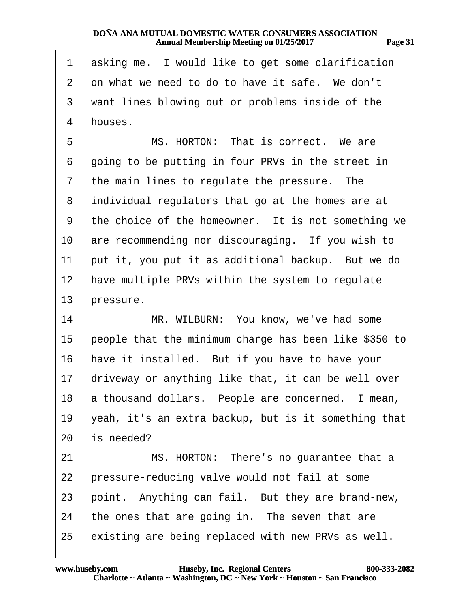<span id="page-30-0"></span>

| 1               | asking me. I would like to get some clarification     |
|-----------------|-------------------------------------------------------|
| $\overline{2}$  | on what we need to do to have it safe. We don't       |
| 3               | want lines blowing out or problems inside of the      |
| 4               | houses.                                               |
| 5               | MS. HORTON: That is correct. We are                   |
| 6               | going to be putting in four PRVs in the street in     |
| 7               | the main lines to regulate the pressure. The          |
| 8               | individual regulators that go at the homes are at     |
| 9               | the choice of the homeowner. It is not something we   |
| 10              | are recommending nor discouraging. If you wish to     |
| 11              | put it, you put it as additional backup. But we do    |
| 12 <sub>2</sub> | have multiple PRVs within the system to regulate      |
| 13              | pressure.                                             |
| 14              | MR. WILBURN: You know, we've had some                 |
| 15              | people that the minimum charge has been like \$350 to |
| 16              | have it installed. But if you have to have your       |
| 17              | driveway or anything like that, it can be well over   |
| 18              | a thousand dollars. People are concerned. I mean      |
| 19              | yeah, it's an extra backup, but is it something that  |
| 20              | is needed?                                            |
| 21              | MS. HORTON: There's no guarantee that a               |
| 22              | pressure-reducing valve would not fail at some        |
| 23              | point. Anything can fail. But they are brand-new,     |
| 24              | the ones that are going in. The seven that are        |
| 25              | existing are being replaced with new PRVs as well.    |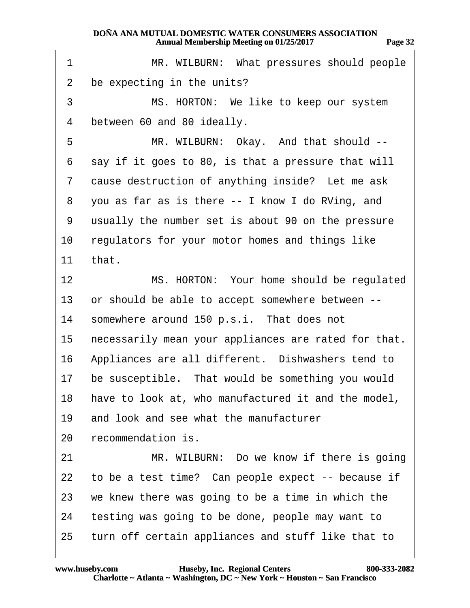<span id="page-31-0"></span>

| 1              | MR. WILBURN: What pressures should people              |
|----------------|--------------------------------------------------------|
| 2              | be expecting in the units?                             |
| 3              | MS. HORTON: We like to keep our system                 |
| 4              | between 60 and 80 ideally.                             |
| 5              | MR. WILBURN: Okay. And that should --                  |
| 6              | say if it goes to 80, is that a pressure that will     |
| $\overline{7}$ | cause destruction of anything inside? Let me ask       |
| 8              | you as far as is there -- I know I do RVing, and       |
| 9              | usually the number set is about 90 on the pressure     |
| 10             | regulators for your motor homes and things like        |
| 11             | that.                                                  |
| 12             | MS. HORTON: Your home should be regulated              |
| 13             | or should be able to accept somewhere between --       |
| 14             | somewhere around 150 p.s.i. That does not              |
| 15             | necessarily mean your appliances are rated for that.   |
| 16             | Appliances are all different. Dishwashers tend to      |
| 17             | be susceptible. That would be something you would      |
|                | 18 have to look at, who manufactured it and the model, |
| 19             | and look and see what the manufacturer                 |
| 20             | recommendation is.                                     |
| 21             | MR. WILBURN: Do we know if there is going              |
| 22             | to be a test time? Can people expect -- because if     |
| 23             | we knew there was going to be a time in which the      |
| 24             | testing was going to be done, people may want to       |
| 25             | turn off certain appliances and stuff like that to     |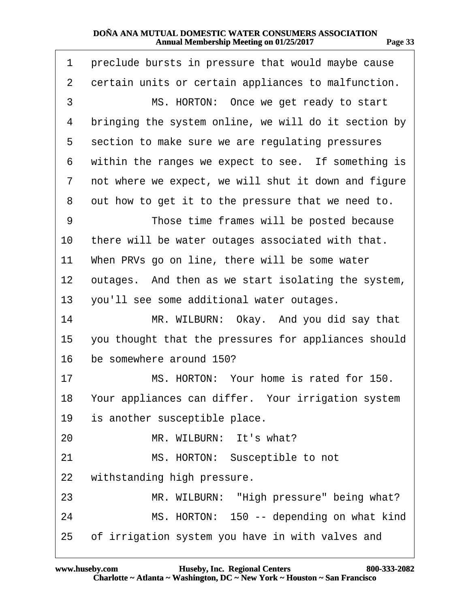<span id="page-32-0"></span>

| 1              | preclude bursts in pressure that would maybe cause   |
|----------------|------------------------------------------------------|
| $\overline{2}$ | certain units or certain appliances to malfunction.  |
| 3              | MS. HORTON: Once we get ready to start               |
| 4              | bringing the system online, we will do it section by |
| 5              | section to make sure we are regulating pressures     |
| 6              | within the ranges we expect to see. If something is  |
| 7              | not where we expect, we will shut it down and figure |
| 8              | out how to get it to the pressure that we need to.   |
| 9              | Those time frames will be posted because             |
| 10             | there will be water outages associated with that.    |
| 11             | When PRVs go on line, there will be some water       |
| 12             | outages. And then as we start isolating the system,  |
| 13             | you'll see some additional water outages.            |
| 14             | MR. WILBURN: Okay. And you did say that              |
| 15             | you thought that the pressures for appliances should |
| 16             | be somewhere around 150?                             |
| 17             | MS. HORTON: Your home is rated for 150.              |
| 18             | Your appliances can differ. Your irrigation system   |
| 19             | is another susceptible place.                        |
| 20             | MR. WILBURN: It's what?                              |
| 21             | MS. HORTON: Susceptible to not                       |
| 22             | withstanding high pressure.                          |
| 23             | MR. WILBURN: "High pressure" being what?             |
| 24             | MS. HORTON: 150 -- depending on what kind            |
| 25             | of irrigation system you have in with valves and     |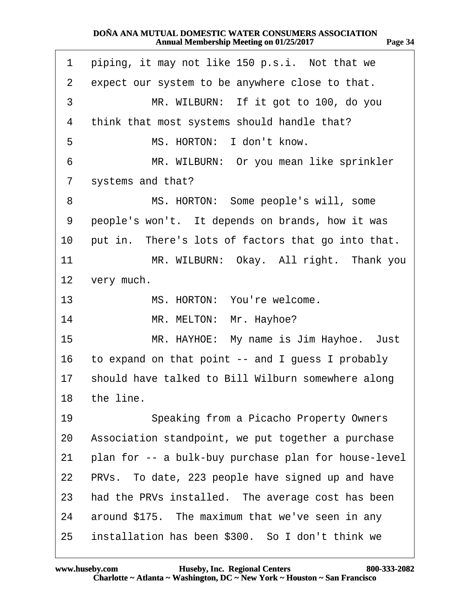<span id="page-33-0"></span>

| 1                 | piping, it may not like 150 p.s.i. Not that we       |
|-------------------|------------------------------------------------------|
| $\overline{2}$    | expect our system to be anywhere close to that.      |
| 3                 | MR. WILBURN: If it got to 100, do you                |
| 4                 | think that most systems should handle that?          |
| 5                 | MS. HORTON: I don't know.                            |
| 6                 | MR. WILBURN: Or you mean like sprinkler              |
| 7                 | systems and that?                                    |
| 8                 | MS. HORTON: Some people's will, some                 |
| 9                 | people's won't. It depends on brands, how it was     |
| 10                | put in. There's lots of factors that go into that.   |
| 11                | MR. WILBURN: Okay. All right. Thank you              |
| $12 \overline{ }$ | very much.                                           |
| 13                | MS. HORTON: You're welcome.                          |
| 14                | MR. MELTON: Mr. Hayhoe?                              |
| 15                | MR. HAYHOE: My name is Jim Hayhoe. Just              |
| 16                | to expand on that point -- and I guess I probably    |
| 17                | should have talked to Bill Wilburn somewhere along   |
|                   | 18 the line.                                         |
| 19                | Speaking from a Picacho Property Owners              |
| 20                | Association standpoint, we put together a purchase   |
| 21                | plan for -- a bulk-buy purchase plan for house-level |
| 22                | PRVs. To date, 223 people have signed up and have    |
| 23                | had the PRVs installed. The average cost has been    |
| 24                | around \$175. The maximum that we've seen in any     |
| 25                | installation has been \$300. So I don't think we     |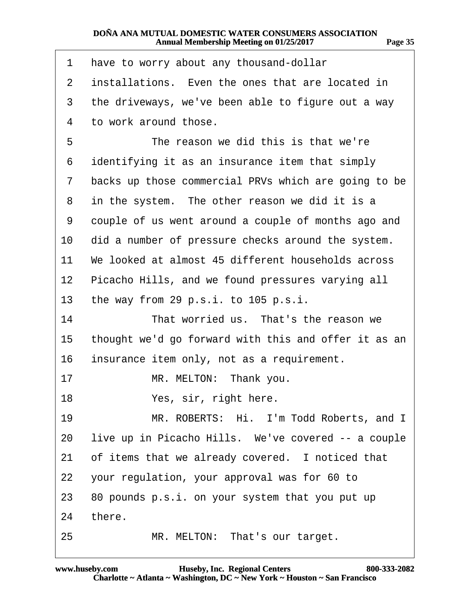<span id="page-34-0"></span>

| 1  | have to worry about any thousand-dollar              |
|----|------------------------------------------------------|
| 2  | installations. Even the ones that are located in     |
| 3  | the driveways, we've been able to figure out a way   |
| 4  | to work around those.                                |
| 5  | The reason we did this is that we're                 |
| 6  | identifying it as an insurance item that simply      |
| 7  | backs up those commercial PRVs which are going to be |
| 8  | in the system. The other reason we did it is a       |
| 9  | couple of us went around a couple of months ago and  |
| 10 | did a number of pressure checks around the system.   |
| 11 | We looked at almost 45 different households across   |
| 12 | Picacho Hills, and we found pressures varying all    |
| 13 | the way from 29 p.s.i. to 105 p.s.i.                 |
| 14 | That worried us. That's the reason we                |
| 15 | thought we'd go forward with this and offer it as an |
| 16 | insurance item only, not as a requirement.           |
| 17 | MR. MELTON: Thank you.                               |
| 18 | Yes, sir, right here.                                |
| 19 | MR. ROBERTS: Hi. I'm Todd Roberts, and I             |
| 20 | live up in Picacho Hills. We've covered -- a couple  |
| 21 | of items that we already covered. I noticed that     |
| 22 | your regulation, your approval was for 60 to         |
| 23 | 80 pounds p.s.i. on your system that you put up      |
| 24 | there.                                               |
| 25 | MR. MELTON: That's our target.                       |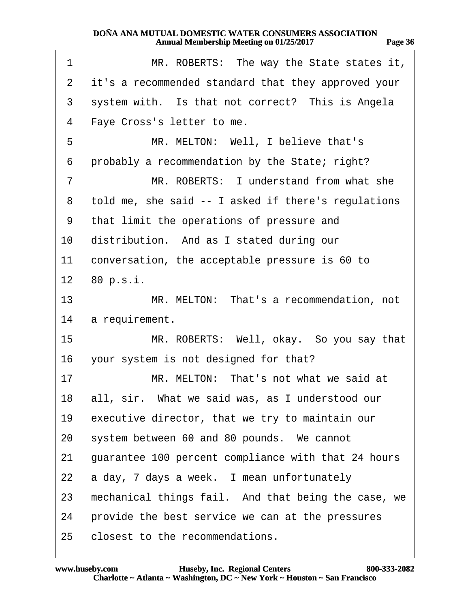| и<br>ПД<br>. . |        |
|----------------|--------|
|                | н<br>в |

<span id="page-35-0"></span>

| 1              | MR. ROBERTS: The way the State states it,           |
|----------------|-----------------------------------------------------|
| $\overline{2}$ | it's a recommended standard that they approved your |
| 3              | system with. Is that not correct? This is Angela    |
| 4              | Faye Cross's letter to me.                          |
| 5              | MR. MELTON: Well, I believe that's                  |
| 6              | probably a recommendation by the State; right?      |
| $\overline{7}$ | MR. ROBERTS: I understand from what she             |
| 8              | told me, she said -- I asked if there's regulations |
| 9              | that limit the operations of pressure and           |
| 10             | distribution. And as I stated during our            |
| 11             | conversation, the acceptable pressure is 60 to      |
|                | 12 80 p.s.i.                                        |
| 13             | MR. MELTON: That's a recommendation, not            |
| 14             | a requirement.                                      |
| 15             | MR. ROBERTS: Well, okay. So you say that            |
| 16             | your system is not designed for that?               |
| 17             | MR. MELTON: That's not what we said at              |
|                | 18 all, sir. What we said was, as I understood our  |
| 19             | executive director, that we try to maintain our     |
| 20             | system between 60 and 80 pounds. We cannot          |
| 21             | guarantee 100 percent compliance with that 24 hours |
| 22             | a day, 7 days a week. I mean unfortunately          |
| 23             | mechanical things fail. And that being the case, we |
| 24             | provide the best service we can at the pressures    |
| 25             | closest to the recommendations.                     |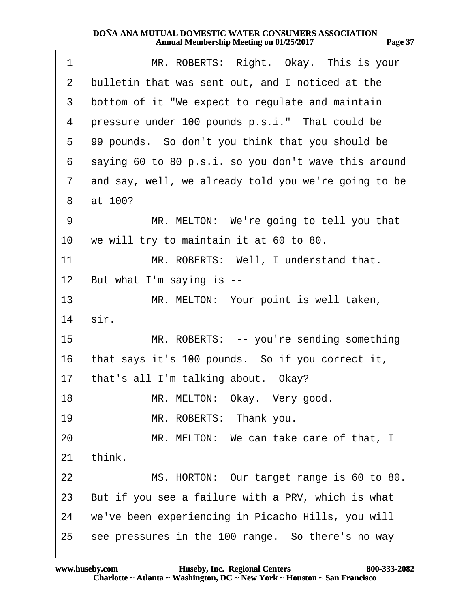<span id="page-36-0"></span>

| 1               | MR. ROBERTS: Right. Okay. This is your               |
|-----------------|------------------------------------------------------|
| 2               | bulletin that was sent out, and I noticed at the     |
| 3               | bottom of it "We expect to regulate and maintain     |
| 4               | pressure under 100 pounds p.s.i." That could be      |
| 5               | 99 pounds. So don't you think that you should be     |
| 6               | saying 60 to 80 p.s.i. so you don't wave this around |
| $\overline{7}$  | and say, well, we already told you we're going to be |
| 8               | at 100?                                              |
| 9               | MR. MELTON: We're going to tell you that             |
| 10 <sup>°</sup> | we will try to maintain it at 60 to 80.              |
| 11              | MR. ROBERTS: Well, I understand that.                |
| 12 <sub>2</sub> | But what I'm saying is --                            |
| 13              | MR. MELTON: Your point is well taken,                |
| 14              | sir.                                                 |
| 15              | MR. ROBERTS: -- you're sending something             |
| 16              | that says it's 100 pounds. So if you correct it,     |
| 17              | that's all I'm talking about. Okay?                  |
| 18              | MR. MELTON: Okay. Very good.                         |
| 19              | MR. ROBERTS: Thank you.                              |
| 20              | MR. MELTON: We can take care of that, I              |
| 21              | think.                                               |
| 22              | MS. HORTON: Our target range is 60 to 80.            |
| 23              | But if you see a failure with a PRV, which is what   |
| 24              | we've been experiencing in Picacho Hills, you will   |
| 25              | see pressures in the 100 range. So there's no way    |
|                 |                                                      |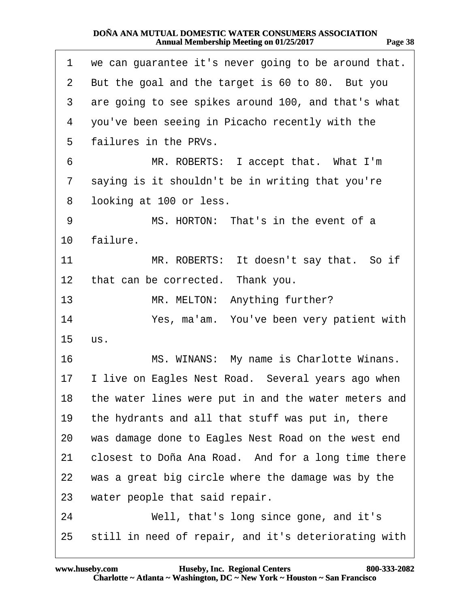| Page 38 |  |
|---------|--|
|         |  |

<span id="page-37-0"></span>

| 1              | we can guarantee it's never going to be around that.    |
|----------------|---------------------------------------------------------|
| $\overline{2}$ | But the goal and the target is 60 to 80. But you        |
| 3              | are going to see spikes around 100, and that's what     |
| 4              | you've been seeing in Picacho recently with the         |
| 5              | failures in the PRVs.                                   |
| 6              | MR. ROBERTS: I accept that. What I'm                    |
| $\overline{7}$ | saying is it shouldn't be in writing that you're        |
| 8              | looking at 100 or less.                                 |
| 9              | MS. HORTON: That's in the event of a                    |
| 10             | failure.                                                |
| 11             | MR. ROBERTS: It doesn't say that. So if                 |
| 12             | that can be corrected. Thank you.                       |
| 13             | MR. MELTON: Anything further?                           |
| 14             | Yes, ma'am. You've been very patient with               |
| 15             | US.                                                     |
| 16             | MS. WINANS: My name is Charlotte Winans.                |
|                | 17 I live on Eagles Nest Road. Several years ago when   |
|                | 18 the water lines were put in and the water meters and |
| 19             | the hydrants and all that stuff was put in, there       |
| 20             | was damage done to Eagles Nest Road on the west end     |
| 21             | closest to Doña Ana Road. And for a long time there     |
| 22             | was a great big circle where the damage was by the      |
| 23             | water people that said repair.                          |
| 24             | Well, that's long since gone, and it's                  |
| 25             | still in need of repair, and it's deteriorating with    |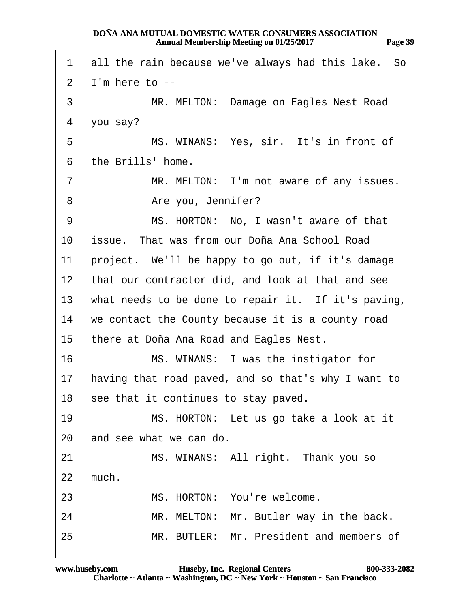<span id="page-38-0"></span>

| 1               | all the rain because we've always had this lake. So    |
|-----------------|--------------------------------------------------------|
| $\overline{2}$  | I'm here to --                                         |
| 3               | MR. MELTON: Damage on Eagles Nest Road                 |
| 4               | you say?                                               |
| 5               | MS. WINANS: Yes, sir. It's in front of                 |
| 6               | the Brills' home.                                      |
| $\overline{7}$  | MR. MELTON: I'm not aware of any issues.               |
| 8               | Are you, Jennifer?                                     |
| 9               | MS. HORTON: No, I wasn't aware of that                 |
| 10              | issue. That was from our Doña Ana School Road          |
| 11              | project. We'll be happy to go out, if it's damage      |
| 12 <sup>1</sup> | that our contractor did, and look at that and see      |
|                 | 13 what needs to be done to repair it. If it's paving, |
|                 | 14 we contact the County because it is a county road   |
| 15              | there at Doña Ana Road and Eagles Nest.                |
| 16              | MS. WINANS: I was the instigator for                   |
| 17              | having that road paved, and so that's why I want to    |
|                 | 18 see that it continues to stay paved.                |
| 19              | MS. HORTON: Let us go take a look at it                |
| 20              | and see what we can do.                                |
| 21              | MS. WINANS: All right. Thank you so                    |
| 22              | much.                                                  |
| 23              | MS. HORTON: You're welcome.                            |
| 24              | MR. MELTON: Mr. Butler way in the back.                |
| 25              | MR. BUTLER: Mr. President and members of               |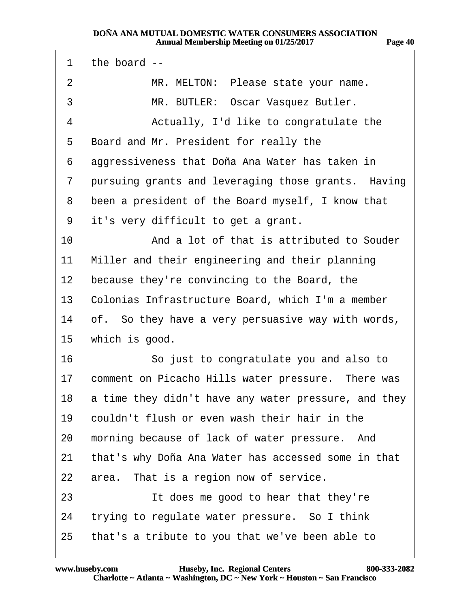<span id="page-39-0"></span>

| 1       | the board --                                         |
|---------|------------------------------------------------------|
| 2       | MR. MELTON: Please state your name.                  |
| 3       | MR. BUTLER: Oscar Vasquez Butler.                    |
| 4       | Actually, I'd like to congratulate the               |
| 5       | Board and Mr. President for really the               |
| 6       | aggressiveness that Doña Ana Water has taken in      |
| 7       | pursuing grants and leveraging those grants. Having  |
| 8       | been a president of the Board myself, I know that    |
| 9       | it's very difficult to get a grant.                  |
| 10      | And a lot of that is attributed to Souder            |
| 11      | Miller and their engineering and their planning      |
| $12 \,$ | because they're convincing to the Board, the         |
| 13      | Colonias Infrastructure Board, which I'm a member    |
| 14      | of. So they have a very persuasive way with words,   |
| 15      | which is good.                                       |
| 16      | So just to congratulate you and also to              |
| 17      | comment on Picacho Hills water pressure. There was   |
| 18      | a time they didn't have any water pressure, and they |
| 19      | couldn't flush or even wash their hair in the        |
| 20      | morning because of lack of water pressure. And       |
| 21      | that's why Doña Ana Water has accessed some in that  |
| 22      | area. That is a region now of service.               |
| 23      | It does me good to hear that they're                 |
| 24      | trying to regulate water pressure. So I think        |
| 25      | that's a tribute to you that we've been able to      |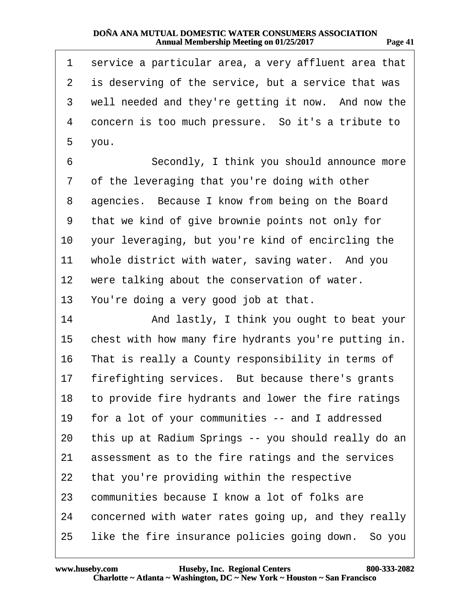| 78 T.C<br>п |  |
|-------------|--|
|             |  |

<span id="page-40-0"></span>

| 1  | service a particular area, a very affluent area that   |
|----|--------------------------------------------------------|
| 2  | is deserving of the service, but a service that was    |
| 3  | well needed and they're getting it now. And now the    |
| 4  | concern is too much pressure. So it's a tribute to     |
| 5  | you.                                                   |
| 6  | Secondly, I think you should announce more             |
| 7  | of the leveraging that you're doing with other         |
| 8  | agencies. Because I know from being on the Board       |
| 9  | that we kind of give brownie points not only for       |
| 10 | your leveraging, but you're kind of encircling the     |
| 11 | whole district with water, saving water. And you       |
| 12 | were talking about the conservation of water.          |
| 13 | You're doing a very good job at that.                  |
| 14 | And lastly, I think you ought to beat your             |
| 15 | chest with how many fire hydrants you're putting in.   |
| 16 | That is really a County responsibility in terms of     |
| 17 | firefighting services. But because there's grants      |
|    | 18 to provide fire hydrants and lower the fire ratings |
| 19 | for a lot of your communities -- and I addressed       |
| 20 | this up at Radium Springs -- you should really do an   |
| 21 | assessment as to the fire ratings and the services     |
| 22 | that you're providing within the respective            |
| 23 | communities because I know a lot of folks are          |
| 24 | concerned with water rates going up, and they really   |
| 25 | like the fire insurance policies going down. So you    |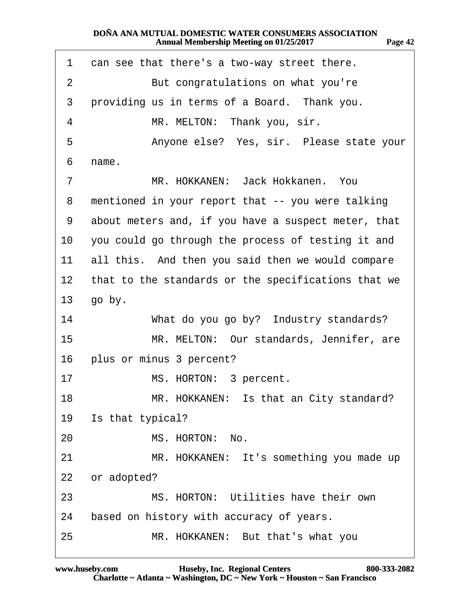<span id="page-41-0"></span>

| 1               | can see that there's a two-way street there.        |
|-----------------|-----------------------------------------------------|
| 2               | But congratulations on what you're                  |
| 3               | providing us in terms of a Board. Thank you.        |
| 4               | MR. MELTON: Thank you, sir.                         |
| 5               | Anyone else? Yes, sir. Please state your            |
| 6               | name.                                               |
| 7               | MR. HOKKANEN: Jack Hokkanen. You                    |
| 8               | mentioned in your report that -- you were talking   |
| 9               | about meters and, if you have a suspect meter, that |
| 10              | you could go through the process of testing it and  |
| 11              | all this. And then you said then we would compare   |
| 12 <sub>2</sub> | that to the standards or the specifications that we |
| 13 <sup>°</sup> | go by.                                              |
| 14              | What do you go by? Industry standards?              |
| 15              | MR. MELTON: Our standards, Jennifer, are            |
|                 | 16 plus or minus 3 percent?                         |
| 17              | MS. HORTON: 3 percent.                              |
| 18              | MR. HOKKANEN: Is that an City standard?             |
| 19              | Is that typical?                                    |
| 20              | MS. HORTON: No.                                     |
| 21              | MR. HOKKANEN: It's something you made up            |
| 22              | or adopted?                                         |
| 23              | MS. HORTON: Utilities have their own                |
| 24              | based on history with accuracy of years.            |
| 25              | MR. HOKKANEN: But that's what you                   |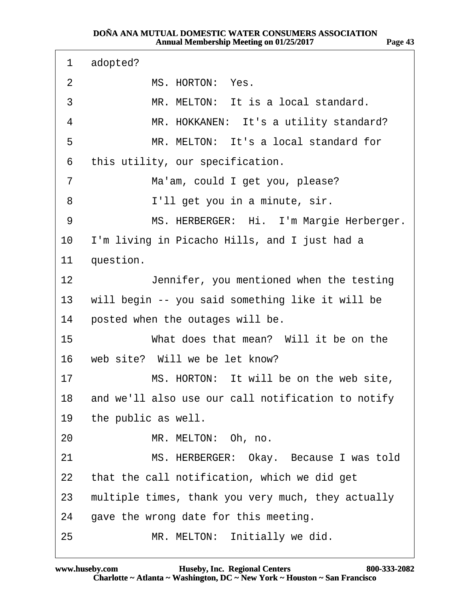<span id="page-42-0"></span>

| 1                 | adopted?                                              |
|-------------------|-------------------------------------------------------|
| $\overline{2}$    | MS. HORTON: Yes.                                      |
| 3                 | MR. MELTON: It is a local standard.                   |
| 4                 | MR. HOKKANEN: It's a utility standard?                |
| 5                 | MR. MELTON: It's a local standard for                 |
| 6                 | this utility, our specification.                      |
| 7                 | Ma'am, could I get you, please?                       |
| 8                 | I'll get you in a minute, sir.                        |
| 9                 | MS. HERBERGER: Hi. I'm Margie Herberger.              |
| 10                | I'm living in Picacho Hills, and I just had a         |
| 11                | question.                                             |
| $12 \overline{ }$ | Jennifer, you mentioned when the testing              |
| 13                | will begin -- you said something like it will be      |
| 14                | posted when the outages will be.                      |
| 15                | What does that mean? Will it be on the                |
| 16                | web site? Will we be let know?                        |
| 17                | MS. HORTON: It will be on the web site,               |
|                   | 18 and we'll also use our call notification to notify |
| 19                | the public as well.                                   |
| 20                | MR. MELTON: Oh, no.                                   |
| 21                | MS. HERBERGER: Okay. Because I was told               |
| 22                | that the call notification, which we did get          |
| 23                | multiple times, thank you very much, they actually    |
| 24                | gave the wrong date for this meeting.                 |
| 25                | MR. MELTON: Initially we did.                         |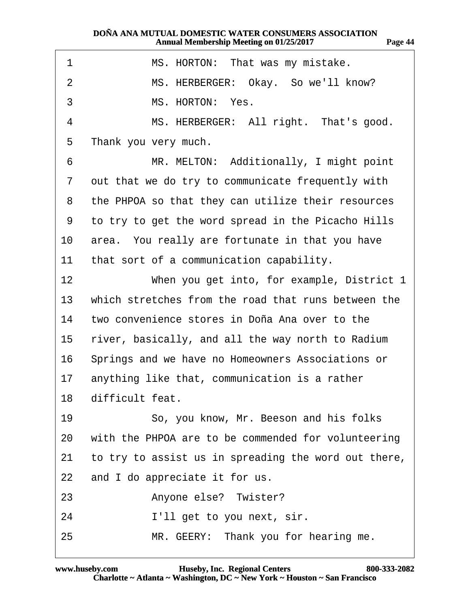<span id="page-43-0"></span>

| 1              | MS. HORTON: That was my mistake.                     |
|----------------|------------------------------------------------------|
| $\overline{2}$ | MS. HERBERGER: Okay. So we'll know?                  |
| 3              | MS. HORTON: Yes.                                     |
| 4              | MS. HERBERGER: All right. That's good.               |
| 5              | Thank you very much.                                 |
| 6              | MR. MELTON: Additionally, I might point              |
| 7              | out that we do try to communicate frequently with    |
| 8              | the PHPOA so that they can utilize their resources   |
| 9              | to try to get the word spread in the Picacho Hills   |
| 10             | area. You really are fortunate in that you have      |
| 11             | that sort of a communication capability.             |
| 12             | When you get into, for example, District 1           |
| 13             | which stretches from the road that runs between the  |
| 14             | two convenience stores in Doña Ana over to the       |
| 15             | river, basically, and all the way north to Radium    |
| 16             | Springs and we have no Homeowners Associations or    |
| 17             | anything like that, communication is a rather        |
| 18             | difficult feat.                                      |
| 19             | So, you know, Mr. Beeson and his folks               |
| 20             | with the PHPOA are to be commended for volunteering  |
| 21             | to try to assist us in spreading the word out there, |
| 22             | and I do appreciate it for us.                       |
| 23             | Anyone else? Twister?                                |
| 24             | I'll get to you next, sir.                           |
| 25             | MR. GEERY: Thank you for hearing me.                 |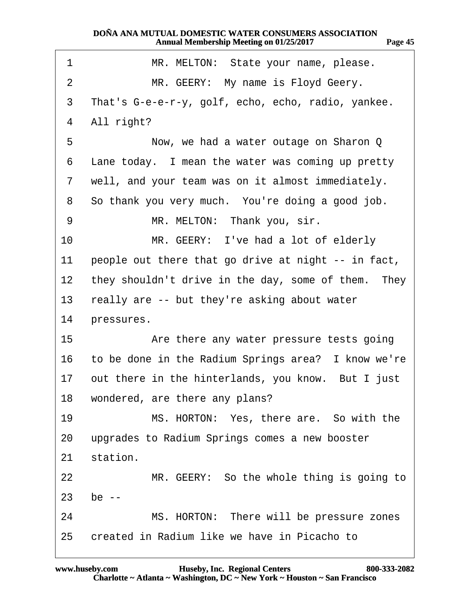<span id="page-44-0"></span>

| 1              | MR. MELTON: State your name, please.                  |
|----------------|-------------------------------------------------------|
| 2              | MR. GEERY: My name is Floyd Geery.                    |
| 3              | That's G-e-e-r-y, golf, echo, echo, radio, yankee.    |
| 4              | All right?                                            |
| 5              | Now, we had a water outage on Sharon Q                |
| 6              | Lane today. I mean the water was coming up pretty     |
| $\overline{7}$ | well, and your team was on it almost immediately.     |
| 8              | So thank you very much. You're doing a good job.      |
| 9              | MR. MELTON: Thank you, sir.                           |
| 10             | MR. GEERY: I've had a lot of elderly                  |
| 11             | people out there that go drive at night -- in fact,   |
| 12             | they shouldn't drive in the day, some of them. They   |
| 13             | really are -- but they're asking about water          |
| 14             | pressures.                                            |
| 15             | Are there any water pressure tests going              |
| 16             | to be done in the Radium Springs area? I know we're   |
|                | 17 out there in the hinterlands, you know. But I just |
|                | 18 wondered, are there any plans?                     |
| 19             | MS. HORTON: Yes, there are. So with the               |
| 20             | upgrades to Radium Springs comes a new booster        |
| 21             | station.                                              |
| 22             | MR. GEERY: So the whole thing is going to             |
| 23             | be $-$                                                |
| 24             | MS. HORTON: There will be pressure zones              |
| 25             | created in Radium like we have in Picacho to          |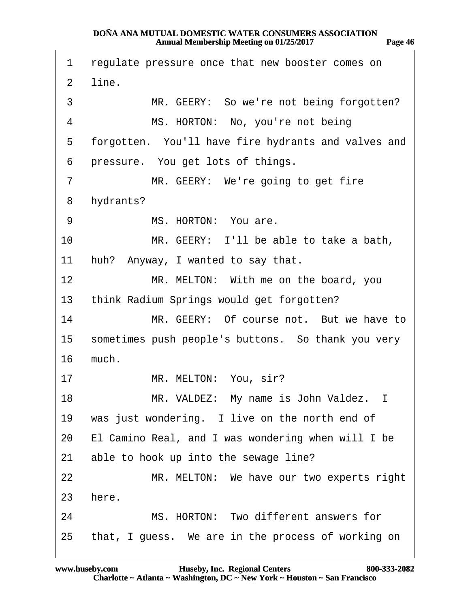<span id="page-45-0"></span>

| 1               | regulate pressure once that new booster comes on    |
|-----------------|-----------------------------------------------------|
| 2               | line.                                               |
| 3               | MR. GEERY: So we're not being forgotten?            |
| 4               | MS. HORTON: No, you're not being                    |
| 5               | forgotten. You'll have fire hydrants and valves and |
| 6               | pressure. You get lots of things.                   |
| 7               | MR. GEERY: We're going to get fire                  |
| 8               | hydrants?                                           |
| 9               | MS. HORTON: You are.                                |
| 10              | MR. GEERY: I'll be able to take a bath,             |
| 11              | huh? Anyway, I wanted to say that.                  |
| 12 <sub>2</sub> | MR. MELTON: With me on the board, you               |
| 13              | think Radium Springs would get forgotten?           |
| 14              | MR. GEERY: Of course not. But we have to            |
| 15              | sometimes push people's buttons. So thank you very  |
| 16              | much.                                               |
| 17              | MR. MELTON: You, sir?                               |
| 18              | MR. VALDEZ: My name is John Valdez. I               |
| 19              | was just wondering. I live on the north end of      |
| 20              | El Camino Real, and I was wondering when will I be  |
| 21              | able to hook up into the sewage line?               |
| 22              | MR. MELTON: We have our two experts right           |
| 23              | here.                                               |
| 24              | MS. HORTON: Two different answers for               |
| 25              | that, I guess. We are in the process of working on  |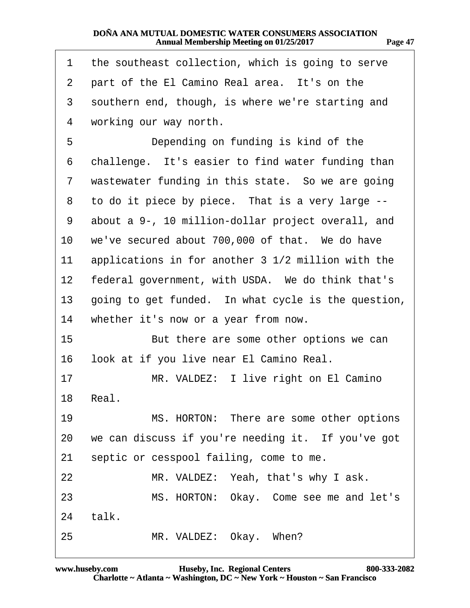<span id="page-46-0"></span>

| 1               | the southeast collection, which is going to serve   |
|-----------------|-----------------------------------------------------|
| 2               | part of the El Camino Real area. It's on the        |
| 3               | southern end, though, is where we're starting and   |
| 4               | working our way north.                              |
| 5               | Depending on funding is kind of the                 |
| 6               | challenge. It's easier to find water funding than   |
| 7               | wastewater funding in this state. So we are going   |
| 8               | to do it piece by piece. That is a very large --    |
| 9               | about a 9-, 10 million-dollar project overall, and  |
| 10              | we've secured about 700,000 of that. We do have     |
| 11              | applications in for another 3 1/2 million with the  |
| 12 <sup>°</sup> | federal government, with USDA. We do think that's   |
| 13              | going to get funded. In what cycle is the question, |
| 14              | whether it's now or a year from now.                |
| 15              | But there are some other options we can             |
| 16              | look at if you live near El Camino Real.            |
| 17              | MR. VALDEZ: I live right on El Camino               |
| 18              | Real.                                               |
| 19              | MS. HORTON: There are some other options            |
| 20              | we can discuss if you're needing it. If you've got  |
| 21              | septic or cesspool failing, come to me.             |
| 22              | MR. VALDEZ: Yeah, that's why I ask.                 |
| 23              | MS. HORTON: Okay. Come see me and let's             |
| 24              | talk.                                               |
| 25              | MR. VALDEZ: Okay. When?                             |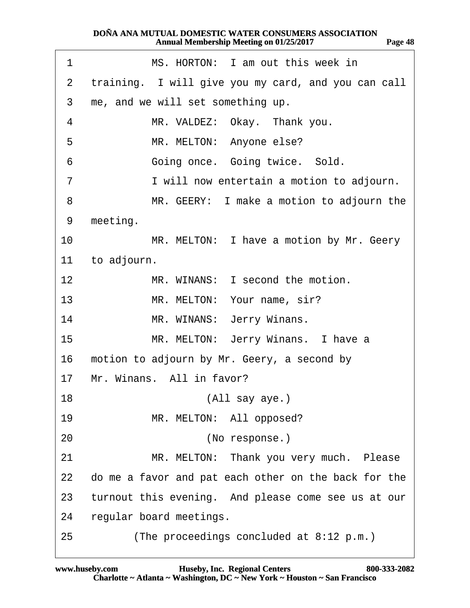<span id="page-47-0"></span>

| 1  | MS. HORTON: I am out this week in                    |
|----|------------------------------------------------------|
| 2  | training. I will give you my card, and you can call  |
| 3  | me, and we will set something up.                    |
| 4  | MR. VALDEZ: Okay. Thank you.                         |
| 5  | MR. MELTON: Anyone else?                             |
| 6  | Going once. Going twice. Sold.                       |
| 7  | I will now entertain a motion to adjourn.            |
| 8  | MR. GEERY: I make a motion to adjourn the            |
| 9  | meeting.                                             |
| 10 | MR. MELTON: I have a motion by Mr. Geery             |
| 11 | to adjourn.                                          |
| 12 | MR. WINANS: I second the motion.                     |
| 13 | MR. MELTON: Your name, sir?                          |
| 14 | MR. WINANS: Jerry Winans.                            |
| 15 | MR. MELTON: Jerry Winans. I have a                   |
| 16 | motion to adjourn by Mr. Geery, a second by          |
| 17 | Mr. Winans. All in favor?                            |
| 18 | (All say aye.)                                       |
| 19 | MR. MELTON: All opposed?                             |
| 20 | (No response.)                                       |
| 21 | MR. MELTON: Thank you very much. Please              |
| 22 | do me a favor and pat each other on the back for the |
| 23 | turnout this evening. And please come see us at our  |
| 24 | regular board meetings.                              |
| 25 | (The proceedings concluded at 8:12 p.m.)             |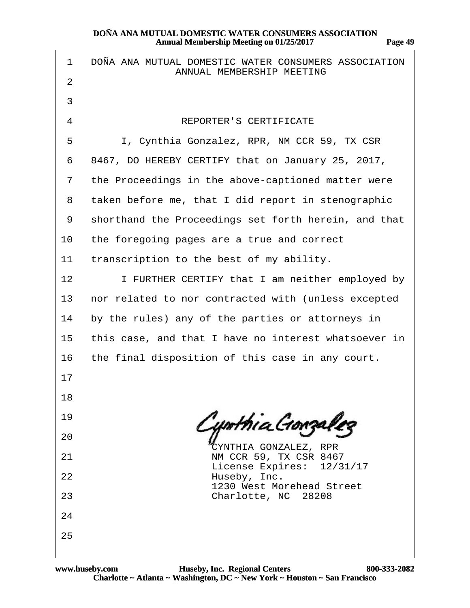| 1              | DONA ANA MUTUAL DOMESTIC WATER CONSUMERS ASSOCIATION<br>ANNUAL MEMBERSHIP MEETING |
|----------------|-----------------------------------------------------------------------------------|
| 2              |                                                                                   |
| 3              |                                                                                   |
| 4              | <b>REPORTER'S CERTIFICATE</b>                                                     |
| 5              | I, Cynthia Gonzalez, RPR, NM CCR 59, TX CSR                                       |
| 6              | 8467, DO HEREBY CERTIFY that on January 25, 2017,                                 |
| $\overline{7}$ | the Proceedings in the above-captioned matter were                                |
| 8              | taken before me, that I did report in stenographic                                |
| 9              | shorthand the Proceedings set forth herein, and that                              |
| 10             | the foregoing pages are a true and correct                                        |
| 11             | transcription to the best of my ability.                                          |
| 12             | I FURTHER CERTIFY that I am neither employed by                                   |
| 13             | nor related to nor contracted with (unless excepted                               |
| 14             | by the rules) any of the parties or attorneys in                                  |
| 15             | this case, and that I have no interest whatsoever in                              |
| 16             | the final disposition of this case in any court.                                  |
| 17             |                                                                                   |
| 18             |                                                                                   |
| 19             |                                                                                   |
| 20             | CYNTHIA GONZALEZ, RPR                                                             |
| 21             | NM CCR 59, TX CSR 8467<br>License Expires: 12/31/17                               |
| 22             | Huseby, Inc.<br>1230 West Morehead Street                                         |
| 23             | Charlotte, NC 28208                                                               |
| 24             |                                                                                   |
| 25             |                                                                                   |
|                |                                                                                   |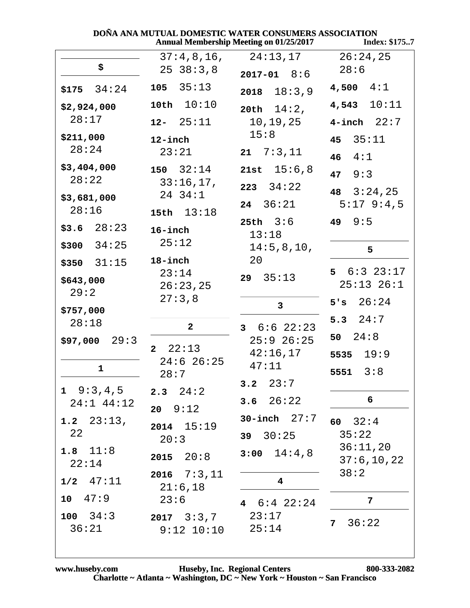| DOÑA ANA MUTUAL DOMESTIC WATER CONSUMERS ASSOCIATION<br><b>Annual Membership Meeting on 01/25/2017</b><br>Index: \$1757 |                                       |                                                       |                                          |
|-------------------------------------------------------------------------------------------------------------------------|---------------------------------------|-------------------------------------------------------|------------------------------------------|
| \$                                                                                                                      | 37:4,8,16,<br>2538:3,8                | 24:13,17<br>$2017 - 01$ 8:6                           | 26:24,25<br>28:6                         |
| $$175$ 34:24                                                                                                            | 105 35:13                             | $2018$ $18:3,9$                                       | $4,500 \quad 4:1$                        |
| \$2,924,000<br>28:17                                                                                                    | 10th $10:10$<br>$12 - 25:11$          | 20th $14:2$ ,<br>10,19,25                             | $4,543$ $10:11$<br>$4$ -inch $22:7$      |
| \$211,000<br>28:24                                                                                                      | $12$ -inch<br>23:21                   | 15:8<br>$21 \quad 7:3,11$                             | 35:11<br>45<br>4:1<br>46 <sup>1</sup>    |
| \$3,404,000<br>28:22                                                                                                    | $150 \quad 32:14$<br>33:16,17,        | 21st $15:6,8$<br>$223 \quad 34:22$                    | 9:3<br>47                                |
| \$3,681,000<br>28:16                                                                                                    | 24 34:1<br>15th $13:18$               | $24 \quad 36:21$<br>$25th$ $3:6$                      | 48 $3:24,25$<br>$5:17$ 9:4,5<br>49 $9:5$ |
| $$3.6$ $28:23$<br>$$300$ 34:25                                                                                          | 16-inch<br>25:12                      | 13:18<br>14:5,8,10,                                   | 5                                        |
| $$350$ $31:15$<br>\$643,000                                                                                             | 18-inch<br>23:14<br>26:23,25          | 20<br>$29 \quad 35:13$                                | $5 \t 6:3 \t 23:17$<br>$25:13$ $26:1$    |
| 29:2<br>\$757,000                                                                                                       | 27:3,8                                | $\mathbf{3}$                                          | 5's 26:24<br>5.3 $24:7$                  |
| 28:18<br>\$97,000<br>29:3                                                                                               | $\mathbf{2}$<br>22:13<br>$\mathbf{2}$ | $3\quad 6:6\quad 22:23$<br>$25:9$ $26:25$<br>42:16,17 | 50 $24:8$                                |
| 1                                                                                                                       | $24:6$ 26:25<br>28:7                  | 47:11<br>$3.2 \quad 23:7$                             | 5535 $19:9$<br>5551 $3:8$                |
| $1 \quad 9:3,4,5$<br>24:1 44:12                                                                                         | $2.3$ $24:2$<br>$20 \t 9:12$          | 3.6 $26:22$                                           | 6                                        |
| 1.2 $23:13$ ,<br>22                                                                                                     | $2014$ $15:19$<br>20:3                | 30-inch $27:7$<br>$39 \quad 30:25$                    | 60 $32:4$<br>35:22                       |
| 1.8 $11:8$<br>22:14                                                                                                     | $2015$ $20:8$                         | $3:00$ $14:4,8$                                       | 36:11,20<br>37:6, 10, 22<br>38:2         |
| $1/2$ $47:11$<br>$10 \t 47:9$                                                                                           | $2016$ $7:3,11$<br>21:6,18<br>23:6    | $\overline{\mathbf{4}}$<br>4 $6:4$ 22:24              | 7                                        |
| $100 \quad 34:3$<br>36:21                                                                                               | $2017 \quad 3:3,7$<br>$9:12$ $10:10$  | 23:17<br>25:14                                        | 36:22<br>7 <sup>7</sup>                  |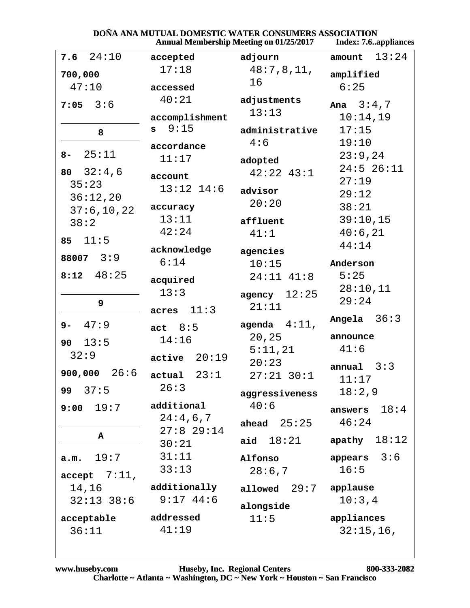### DOÑA ANA MUTUAL DOMESTIC WATER CONSUMERS ASSOCIATION

|                     | Annual Membership Meeting on 01/25/2017 |                 | Index: 7.6appliances |
|---------------------|-----------------------------------------|-----------------|----------------------|
| $7.6$ $24:10$       | accepted                                | adjourn         | 13:24<br>amount      |
| 700,000             | 17:18                                   | 48:7,8,11,      | amplified            |
| 47:10               | accessed                                | 16              | 6:25                 |
| $7:05$ 3:6          | 40:21                                   | adjustments     | Ana $3:4,7$          |
|                     | accomplishment                          | 13:13           | 10:14,19             |
| 8                   | 9:15<br>s                               | administrative  | 17:15                |
|                     | accordance                              | 4:6             | 19:10                |
| 25:11<br>$8-$       | 11:17                                   | adopted         | 23:9,24              |
| 80 $32:4,6$         | account                                 | $42:22$ $43:1$  | $24:5$ 26:11         |
| 35:23               | $13:12$ $14:6$                          | advisor         | 27:19                |
| 36:12,20            |                                         | 20:20           | 29:12                |
| 37:6, 10, 22        | accuracy<br>13:11                       |                 | 38:21                |
| 38:2                | 42:24                                   | affluent        | 39:10,15             |
| 11:5<br>85          |                                         | 41:1            | 40:6,21<br>44:14     |
| 88007 3:9           | acknowledge                             | agencies        |                      |
|                     | 6:14                                    | 10:15           | Anderson             |
| 48:25<br>8:12       | acquired                                | $24:11$ $41:8$  | 5:25                 |
|                     | 13:3                                    | agency $12:25$  | 28:10,11             |
| 9                   | 11:3<br>acres                           | 21:11           | 29:24                |
| 47:9<br>$9-$        | act $8:5$                               | agenda $4:11$ , | 36:3<br>Angela       |
| 13:5<br>90          | 14:16                                   | 20,25           | announce             |
| 32:9                | active 20:19                            | 5:11,21         | 41:6                 |
|                     |                                         | 20:23           | 3:3<br>annual        |
| 26:6<br>900,000     | actual 23:1                             | $27:21$ 30:1    | 11:17                |
| 37:5<br>99          | 26:3                                    | aggressiveness  | 18:2,9               |
| 19:7<br>9:00        | additional                              | 40:6            | 18:4<br>answers      |
|                     | 24:4,6,7<br>$27:8$ 29:14                | 25:25<br>ahead  | 46:24                |
| A                   | 30:21                                   | aid $18:21$     | 18:12<br>apathy      |
| 19:7<br>a.m.        | 31:11                                   | Alfonso         | 3:6<br>appears       |
| accept 7:11,        | 33:13                                   | 28:6,7          | 16:5                 |
| 14,16               | additionally                            | 29:7<br>allowed | applause             |
| $32:13$ $38:6$      | 9:1744:6                                |                 | 10:3,4               |
|                     | addressed                               | alongside       | appliances           |
| acceptable<br>36:11 | 41:19                                   | 11:5            | $32:15,16$ ,         |
|                     |                                         |                 |                      |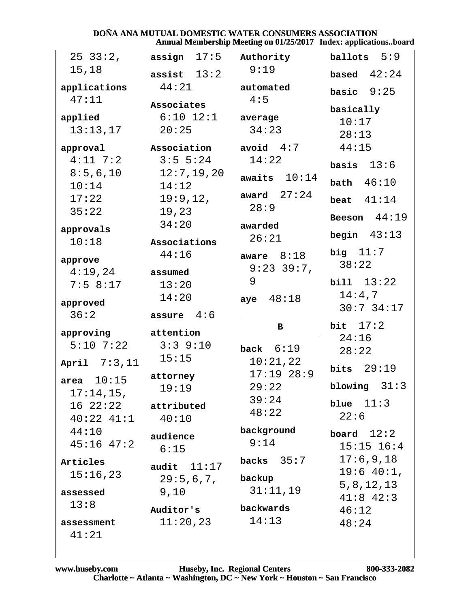#### DOÑA ANA MUTUAL DOMESTIC WATER CONSUMERS ASSOCIATION Annual Membership Meeting on 01/25/2017 Index: applications..board

| $25 \t33:2,$                            | assign $17:5$ Authority |                    | ballots $5:9$      |
|-----------------------------------------|-------------------------|--------------------|--------------------|
| 15,18                                   | assist $13:2$           | 9:19               | based $42:24$      |
| applications                            | 44:21                   | automated          | basic $9:25$       |
| 47:11                                   | Associates              | 4:5                |                    |
| applied                                 | $6:10$ $12:1$ average   |                    | basically<br>10:17 |
| 13:13,17                                | 20:25                   | 34:23              | 28:13              |
| approval                                | Association             | avoid $4:7$        | 44:15              |
| $4:11$ 7:2                              | $3:5 \ 5:24$            | 14:22              |                    |
| 8:5,6,10                                | 12:7, 19, 20            | awaits $10:14$     | basis $13:6$       |
| 10:14                                   | 14:12                   |                    | bath $46:10$       |
| 17:22                                   | 19:9,12,                | award $27:24$      | beat $41:14$       |
| 35:22                                   | 19,23                   | 28:9               | Beeson $44:19$     |
| approvals                               | 34:20                   | awarded            |                    |
| 10:18                                   | Associations            | 26:21              | begin $43:13$      |
| approve                                 | 44:16                   | aware $8:18$       | big $11:7$         |
| $4:19$ , $24$                           | assumed                 | 9:23 39:7,         | 38:22              |
| 7:58:17                                 | 13:20                   | 9                  | bili 13:22         |
| approved                                | 14:20                   | aye $48:18$        | 14:4,7             |
| 36:2                                    | assure $4:6$            |                    | $30:7$ 34:17       |
| approving attention                     |                         | в                  | bit $17:2$         |
| $5:10$ $7:22$                           | $3:3$ 9:10              | back $6:19$        | 24:16              |
| April $7:3,11$                          | 15:15                   | 10:21,22           | 28:22              |
|                                         | attorney                | $17:19$ 28:9       | bits $29:19$       |
| area $10:15$                            | 19:19                   | 29:22              | blowing $31:3$     |
| $17:14,15$ ,<br>$16 \t22:22$ attributed |                         | 39:24              | blue $11:3$        |
| $40:22$ $41:1$ $40:10$                  |                         | 48:22              | 22:6               |
| 44:10                                   |                         | background         | board $12:2$       |
| $45:16$ $47:2$                          | audience<br>6:15        | 9:14               | $15:15$ $16:4$     |
| Articles                                |                         | backs $35:7$       | 17:6,9,18          |
| 15:16,23                                | audit $11:17$           |                    | 19:6 40:1,         |
|                                         | 29:5,6,7,               | backup<br>31:11,19 | 5, 8, 12, 13       |
| assessed<br>13:8                        | 9,10                    |                    | $41:8$ $42:3$      |
|                                         | Auditor's               | backwards          | 46:12              |
| assessment                              | 11:20,23                | 14:13              | 48:24              |
| 41:21                                   |                         |                    |                    |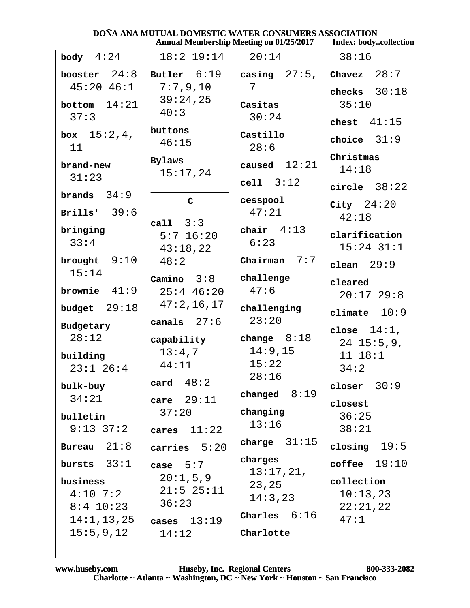|                   | DONA ANA MUTUAL DOMESTIC WATER CONSUMERS ASSOCIATION |                        | Annual Membership Meeting on 01/25/2017    Index: bodycollection |
|-------------------|------------------------------------------------------|------------------------|------------------------------------------------------------------|
| body $4:24$       | $18:2$ $19:14$                                       | 20:14                  | 38:16                                                            |
| booster $24:8$    | Butler 6:19                                          | casing $27:5$ , Chavez | 28:7                                                             |
| $45:20$ $46:1$    | $7:7$ , $9$ , $10$                                   | 7                      | checks $30:18$                                                   |
| bottom $14:21$    | 39:24,25                                             | Casitas                | 35:10                                                            |
| 37:3              | 40:3                                                 | 30:24                  | chest $41:15$                                                    |
| 15:2,4,<br>box    | buttons                                              | Castillo               | choice $31:9$                                                    |
| 11                | 46:15                                                | 28:6                   |                                                                  |
| brand-new         | Bylaws                                               | caused $12:21$         | Christmas                                                        |
| 31:23             | 15:17,24                                             | cell 3:12              | 14:18                                                            |
| brands $34:9$     |                                                      |                        | circle $38:22$                                                   |
|                   | C                                                    | cesspool<br>47:21      | City $24:20$                                                     |
| Brills' $39:6$    | call $3:3$                                           |                        | 42:18                                                            |
| bringing          | $5:7$ 16:20                                          | chair $4:13$           | clarification                                                    |
| 33:4              | 43:18,22                                             | 6:23                   | $15:24$ 31:1                                                     |
| brought $9:10$    | 48:2                                                 | 7:7<br>Chairman        | clean $29:9$                                                     |
| 15:14             | Camino $3:8$                                         | challenge              | cleared                                                          |
| brownie $41:9$    | $25:4$ 46:20                                         | 47:6                   | $20:17$ 29:8                                                     |
| 29:18<br>budget   | 47:2,16,17                                           | challenging            | climate $10:9$                                                   |
| Budgetary         | canals $27:6$                                        | 23:20                  |                                                                  |
| 28:12             | capability                                           | change $8:18$          | close $14:1$ ,<br>$24$ 15:5,9,                                   |
| building          | 13:4,7                                               | 14:9,15                | 11 18:1                                                          |
| $23:1$ $26:4$     | 44:11                                                | 15:22                  | 34:2                                                             |
|                   | card $48:2$                                          | 28:16                  |                                                                  |
| bulk-buy<br>34:21 |                                                      | changed $8:19$         | closer $30:9$                                                    |
|                   | care $29:11$<br>37:20                                | changing               | closest                                                          |
| bulletin          |                                                      | 13:16                  | 36:25                                                            |
| $9:13 \ 37:2$     | cares $11:22$                                        |                        | 38:21                                                            |
| Bureau $21:8$     | carries $5:20$                                       | charge $31:15$         | closing $19:5$                                                   |
| bursts $33:1$     | case $5:7$                                           | charges<br>13:17,21,   | coffee $19:10$                                                   |
| business          | 20:1,5,9                                             | 23,25                  | collection                                                       |
| $4:10$ 7:2        | $21:5$ $25:11$                                       | 14:3,23                | 10:13,23                                                         |
| $8:4$ 10:23       | 36:23                                                | Charles $6:16$         | 22:21,22                                                         |
|                   | $14:1, 13, 25$ cases $13:19$                         |                        | 47:1                                                             |
| 15:5,9,12         | 14:12                                                | Charlotte              |                                                                  |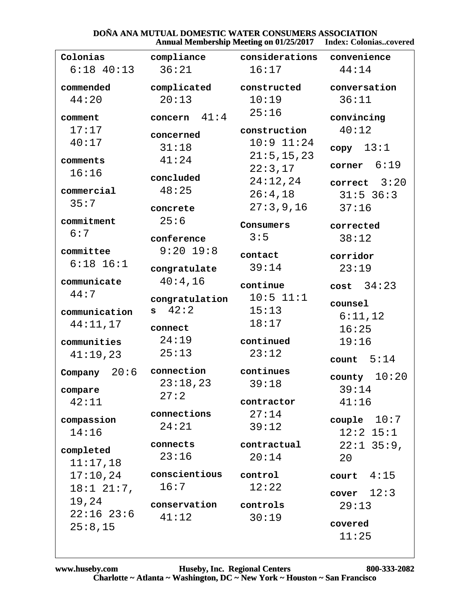# **DOÑA ANA MUTUAL DOMESTIC WATER CONSUMERS ASSOCIATION<br>Annual Membership Meeting on 01/25/2017** Index: Colonias..covered

|                 |                       | $A$ iniyai bitinoti sinp bitting on 01/20/2017 — muta, Colomasco refer |                |
|-----------------|-----------------------|------------------------------------------------------------------------|----------------|
| Colonias        | compliance            | considerations convenience                                             |                |
| $6:18$ $40:13$  | 36:21                 | 16:17                                                                  | 44:14          |
| commended       | complicated           | constructed                                                            | conversation   |
| 44:20           | 20:13                 | 10:19                                                                  | 36:11          |
| comment         | 41:4<br>concern       | 25:16                                                                  | convincing     |
| 17:17           | concerned             | construction                                                           | 40:12          |
| 40:17           | 31:18                 | $10:9$ $11:24$                                                         | copy 13:1      |
| comments        | 41:24                 | 21:5, 15, 23                                                           | 6:19<br>corner |
| 16:16           | concluded             | 22:3,17                                                                |                |
| commercial      | 48:25                 | 24:12,24                                                               | correct $3:20$ |
| 35:7            |                       | 26:4,18                                                                | $31:5$ 36:3    |
|                 | concrete              | 27:3,9,16                                                              | 37:16          |
| commitment      | 25:6                  | Consumers                                                              | corrected      |
| 6:7             | conference            | 3:5                                                                    | 38:12          |
| committee       | $9:20$ 19:8           | contact                                                                | corridor       |
| $6:18$ $16:1$   | congratulate          | 39:14                                                                  | 23:19          |
| communicate     | 40:4,16               | continue                                                               | $cost$ 34:23   |
| 44:7            | congratulation        | $10:5$ $11:1$                                                          | counsel        |
| communication   | 42:2<br>s i           | 15:13                                                                  | 6:11,12        |
| 44:11,17        | connect               | 18:17                                                                  | 16:25          |
| communities     | 24:19                 | continued                                                              | 19:16          |
| 41:19,23        | 25:13                 | 23:12                                                                  | count $5:14$   |
| 20:6<br>Company | connection            | continues                                                              |                |
|                 | 23:18,23              | 39:18                                                                  | county $10:20$ |
| compare         | 27:2                  |                                                                        | 39:14          |
| 42:11           |                       | contractor                                                             | 41:16          |
| compassion      | connections           | 27:14                                                                  | couple $10:7$  |
| 14:16           | 24:21                 | 39:12                                                                  | $12:2$ $15:1$  |
| completed       | connects              | contractual                                                            | $22:1$ 35:9,   |
| 11:17,18        | 23:16                 | 20:14                                                                  | 20             |
| 17:10,24        | conscientious         | control                                                                | court $4:15$   |
| $18:1$ $21:7$ , | 16:7                  | 12:22                                                                  |                |
| 19,24           |                       |                                                                        | cover $12:3$   |
| $22:16$ $23:6$  | conservation<br>41:12 | controls                                                               | 29:13          |
| 25:8,15         |                       | 30:19                                                                  | covered        |
|                 |                       |                                                                        | 11:25          |
|                 |                       |                                                                        |                |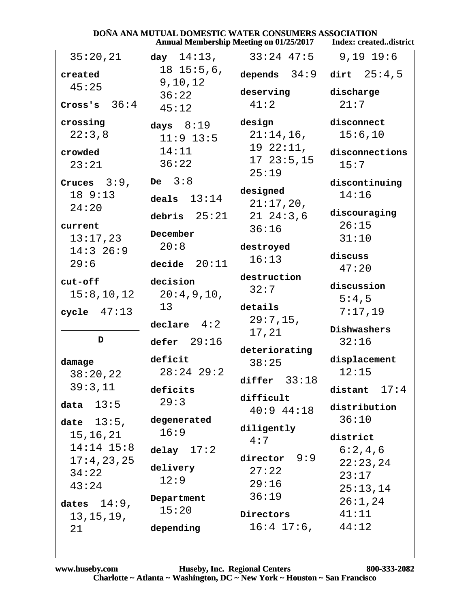| <b>DOÑA ANA MUTUAL DOMESTIC WATER CONSUMERS ASSOCIATION</b> |                  |                                                                   |                 |
|-------------------------------------------------------------|------------------|-------------------------------------------------------------------|-----------------|
|                                                             |                  | Annual Membership Meeting on 01/25/2017    Index: createddistrict |                 |
| 35:20,21                                                    | day $14:13$ ,    | $33:24$ 47:5                                                      | $9,19$ 19:6     |
| created                                                     | $18$ $15:5,6$ ,  | depends $34:9$ dirt $25:4,5$                                      |                 |
| 45:25                                                       | 9, 10, 12        | deserving                                                         | discharge       |
| Cross's $36:4$                                              | 36:22            | 41:2                                                              | 21:7            |
|                                                             | 45:12            |                                                                   |                 |
| crossing                                                    | days $8:19$      | design                                                            | disconnect      |
| 22:3,8                                                      | $11:9$ 13:5      | $21:14,16$ ,                                                      | 15:6,10         |
| crowded                                                     | 14:11            | 192:11,                                                           | disconnections  |
| 23:21                                                       | 36:22            | 1723:5,15                                                         | 15:7            |
|                                                             | De $3:8$         | 25:19                                                             |                 |
| Cruces $3:9$ ,                                              |                  | designed                                                          | discontinuing   |
| 189:13                                                      | deals $13:14$    | $21:17,20$ ,                                                      | 14:16           |
| 24:20                                                       | debris $25:21$   | $21\ \ 24:3,6$                                                    | discouraging    |
| current                                                     |                  | 36:16                                                             | 26:15           |
| 13:17,23                                                    | December         |                                                                   | 31:10           |
| $14:3$ 26:9                                                 | 20:8             | destroyed                                                         | discuss         |
| 29:6                                                        | decide $20:11$   | 16:13                                                             | 47:20           |
| cut-off                                                     | decision         | destruction                                                       |                 |
| 15:8, 10, 12                                                | 20:4,9,10,       | 32:7                                                              | discussion      |
|                                                             | 13               | details                                                           | 5:4,5           |
| cycle $47:13$                                               |                  | 29:7,15,                                                          | 7:17,19         |
|                                                             | $dec1$ are $4:2$ | 17,21                                                             | Dishwashers     |
| D                                                           | defer $29:16$    |                                                                   | 32:16           |
|                                                             | deficit          | deteriorating                                                     | displacement    |
| damage                                                      | $28:24$ 29:2     | 38:25                                                             | 12:15           |
| 38:20,22                                                    |                  | differ $33:18$                                                    |                 |
| 39:3,11                                                     | deficits         | difficult                                                         | 17:4<br>distant |
| 13:5<br>data                                                | 29:3             | $40:9$ $44:18$                                                    | distribution    |
| date $13:5$ ,                                               | degenerated      |                                                                   | 36:10           |
| 15,16,21                                                    | 16:9             | diligently                                                        | district        |
| $14:14$ $15:8$                                              | delay $17:2$     | 4:7                                                               | 6:2,4,6         |
| 17:4,23,25                                                  |                  | 9:9<br>director                                                   | 22:23,24        |
| 34:22                                                       | delivery         | 27:22                                                             | 23:17           |
| 43:24                                                       | 12:9             | 29:16                                                             | 25:13,14        |
|                                                             | Department       | 36:19                                                             | 26:1,24         |
| dates $14:9$ ,                                              | 15:20            | Directors                                                         | 41:11           |
| 13, 15, 19,                                                 | depending        | $16:4$ 17:6,                                                      | 44:12           |
| 21                                                          |                  |                                                                   |                 |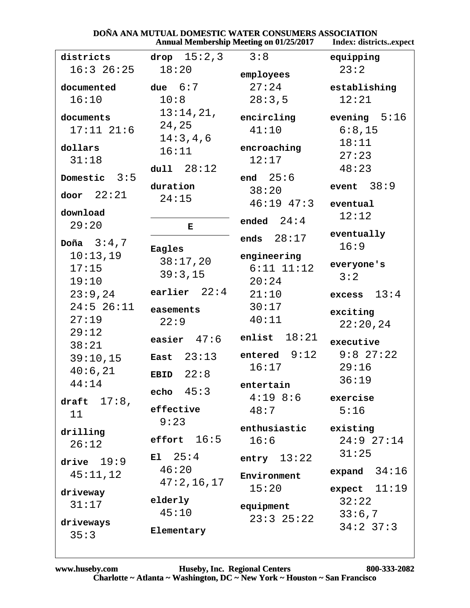#### **DOÑA ANA MUTUAL DOMESTIC WATER CONSUMERS ASSOCIATION**<br>Annual Membership Meeting on 01/25/2017 Index: district Tndev. districts..expect

|                             |                     | Annual Membership Meeting on 01/25/2017 | muex: uistrictsexpec     |  |
|-----------------------------|---------------------|-----------------------------------------|--------------------------|--|
| districts                   | drop $15:2,3$       | 3:8                                     | equipping                |  |
| $16:3$ 26:25                | 18:20               | employees                               | 23:2                     |  |
| documented                  | due $6:7$           | 27:24                                   | establishing             |  |
| 16:10                       | 10:8                | 28:3,5                                  | 12:21                    |  |
| documents<br>$17:11$ $21:6$ | 13:14,21,<br>24,25  | encircling<br>41:10                     | evening $5:16$<br>6:8,15 |  |
|                             | 14:3,4,6            |                                         | 18:11                    |  |
| dollars                     | 16:11               | encroaching                             |                          |  |
| 31:18                       |                     | 12:17                                   | 27:23                    |  |
| 3:5<br>Domestic             | dull 28:12          | end $25:6$                              | 48:23                    |  |
| door $22:21$                | duration            | 38:20                                   | 38:9<br>event            |  |
|                             | 24:15               | $46:19$ $47:3$                          | eventual                 |  |
| download<br>29:20           | Е                   | ended $24:4$                            | 12:12                    |  |
| Doña $3:4,7$                | Eagles              | ends $28:17$                            | eventually<br>16:9       |  |
| 10:13,19                    | 38:17,20            | engineering                             | everyone's               |  |
| 17:15                       | 39:3,15             | $6:11$ $11:12$                          | 3:2                      |  |
| 19:10                       |                     | 20:24                                   |                          |  |
| 23:9,24                     | earlier $22:4$      | 21:10                                   | excess $13:4$            |  |
| $24:5$ 26:11                | easements           | 30:17                                   | exciting                 |  |
| 27:19                       | 22:9                | 40:11                                   | 22:20,24                 |  |
| 29:12                       |                     | 18:21<br>enlist                         |                          |  |
| 38:21                       | easier $47:6$       |                                         | executive                |  |
| 39:10,15                    | 23:13<br>East       | entered $9:12$                          | $9:8$ 27:22              |  |
| 40:6,21                     | 22:8<br><b>EBID</b> | 16:17                                   | 29:16                    |  |
| 44:14                       |                     | entertain                               | 36:19                    |  |
| draft $17:8$ ,              | echo $45:3$         | $4:19$ 8:6                              | exercise                 |  |
|                             | effective           | 48:7                                    | 5:16                     |  |
| 11                          | 9:23                |                                         |                          |  |
| drilling                    |                     | enthusiastic                            | existing                 |  |
| 26:12                       | effort $16:5$       | 16:6                                    | 24:927:14                |  |
| drive $19:9$                | $E1 \quad 25:4$     | entry $13:22$                           | 31:25                    |  |
| 45:11,12                    | 46:20               | Environment                             | expand $34:16$           |  |
| driveway                    | 47:2,16,17          | 15:20                                   | expect $11:19$           |  |
| 31:17                       | elderly             |                                         | 32:22                    |  |
|                             | 45:10               | equipment                               | 33:6,7                   |  |
| driveways                   |                     | $23:3$ $25:22$                          | $34:2$ 37:3              |  |
| 35:3                        | Elementary          |                                         |                          |  |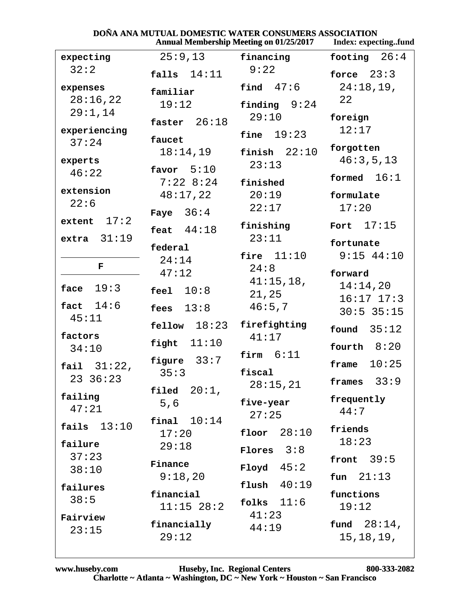### **DOÑA ANA MUTUAL DOMESTIC WATER CONSUMERS ASSOCIATION**

|                | Annual Membership Meeting on 01/25/2017 | Index: expectingtund |                 |  |
|----------------|-----------------------------------------|----------------------|-----------------|--|
| expecting      | 25:9,13                                 | financing            | 26:4<br>footing |  |
| 32:2           | falls $14:11$                           | 9:22                 | force $23:3$    |  |
| expenses       | familiar                                | find $47:6$          | 24:18,19,       |  |
| 28:16,22       | 19:12                                   | finding $9:24$       | 22              |  |
| 29:1,14        | faster $26:18$                          | 29:10                | foreign         |  |
| experiencing   |                                         |                      | 12:17           |  |
| 37:24          | faucet                                  | 19:23<br>fine        |                 |  |
|                | 18:14,19                                | finish $22:10$       | forgotten       |  |
| experts        | favor $5:10$                            | 23:13                | 46:3,5,13       |  |
| 46:22          | $7:22$ 8:24                             | finished             | formed $16:1$   |  |
| extension      | 48:17,22                                | 20:19                | formulate       |  |
| 22:6           |                                         | 22:17                | 17:20           |  |
| extent $17:2$  | Faye $36:4$                             |                      |                 |  |
|                | feat $44:18$                            | finishing            | 17:15<br>Fort   |  |
| extra $31:19$  | federal                                 | 23:11                | fortunate       |  |
|                | 24:14                                   | fire $11:10$         | $9:15$ 44:10    |  |
| F              | 47:12                                   | 24:8                 | forward         |  |
|                |                                         | $41:15,18$ ,         | 14:14,20        |  |
| 19:3<br>face   | 10:8<br>feel                            | 21,25                | $16:17$ $17:3$  |  |
| fact $14:6$    | 13:8<br>fees                            | 46:5,7               | $30:5$ 35:15    |  |
| 45:11          | $\texttt{fellow}$ $18:23$               | firefighting         |                 |  |
| factors        |                                         | 41:17                | 35:12<br>found  |  |
| 34:10          | 11:10<br>fight                          |                      | fourth $8:20$   |  |
|                | figure $33:7$                           | firm $6:11$          | 10:25           |  |
| fail $31:22$ , | 35:3                                    | fiscal               | frame           |  |
| 23 36:23       |                                         | 28:15,21             | 33:9<br>frames  |  |
| failing        | $20:1$ ,<br>filed                       |                      | frequently      |  |
| 47:21          | 5,6                                     | five-year<br>27:25   | 44:7            |  |
| fails $13:10$  | final $10:14$                           |                      |                 |  |
|                | 17:20                                   | 28:10<br>floor       | friends         |  |
| failure        | 29:18                                   | Flores $3:8$         | 18:23           |  |
| 37:23          | Finance                                 |                      | front $39:5$    |  |
| 38:10          | 9:18,20                                 | $Floyd \t 45:2$      | fun $21:13$     |  |
| failures       |                                         | flush $40:19$        |                 |  |
| 38:5           | financial                               | folks $11:6$         | functions       |  |
| Fairview       | $11:15$ $28:2$                          | 41:23                | 19:12           |  |
| 23:15          | financially                             | 44:19                | fund $28:14$ ,  |  |
|                | 29:12                                   |                      | 15, 18, 19,     |  |
|                |                                         |                      |                 |  |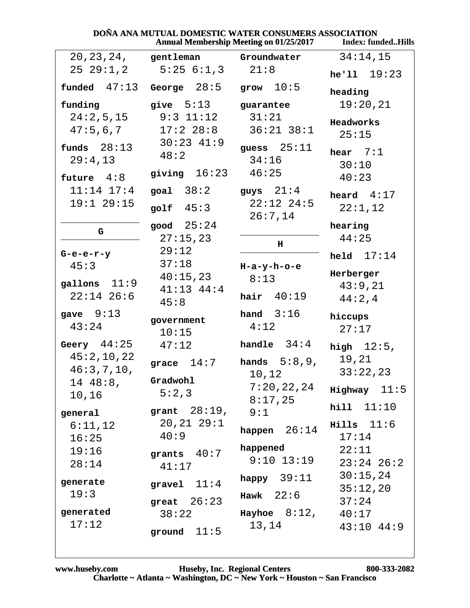#### **DOÑA ANA MUTUAL DOMESTIC WATER CONSUMERS ASSOCIATION<br>Annual Membership Meeting on 01/25/2017** Index: fun **Index: funded..Hills**

|                                |                                 | $A$ iliyal Mchocl ship Mcchig on 01/23/2017 | THULA, TUHULU., THE   |  |
|--------------------------------|---------------------------------|---------------------------------------------|-----------------------|--|
| 20, 23, 24,                    | gentleman                       | Groundwater                                 | 34:14,15              |  |
| $25\ 29:1,2$                   |                                 | $5:25 \t6:1,3 \t21:8$                       |                       |  |
|                                | $f$ unded $47:13$ George $28:5$ | grow $10:5$                                 | heading               |  |
| funding                        | give $5:13$                     | guarantee                                   | 19:20,21              |  |
| 24:2,5,15                      | $9:3$ $11:12$                   | 31:21                                       | Headworks             |  |
| 47:5,6,7                       | $17:2$ $28:8$<br>$30:23$ 41:9   | $36:21$ $38:1$                              | 25:15                 |  |
| funds $28:13$                  | 48:2                            | guess $25:11$                               | hear $7:1$            |  |
| 29:4,13                        | giving $16:23$                  | 34:16<br>46:25                              | 30:10                 |  |
| future $4:8$                   |                                 |                                             | 40:23                 |  |
| $11:14$ $17:4$<br>$19:1$ 29:15 | goal $38:2$                     | guys $21:4$<br>$22:12$ $24:5$               | heard $4:17$          |  |
|                                | golf $45:3$                     | 26:7,14                                     | 22:1,12               |  |
| G                              | good $25:24$                    |                                             | hearing               |  |
|                                | 27:15,23                        | н                                           | 44:25                 |  |
| $G-e-e-r-y$                    | 29:12                           |                                             | held $17:14$          |  |
| 45:3                           | 37:18<br>40:15,23               | $H-a-y-h-o-e$<br>8:13                       | Herberger             |  |
| gallons $11:9$                 | $41:13$ $44:4$                  |                                             | 43:9,21               |  |
| $22:14$ 26:6                   | 45:8                            | hair $40:19$                                | 44:2,4                |  |
| gave $9:13$                    |                                 | hand $3:16$                                 | hiccups               |  |
| 43:24                          | government<br>10:15             | 4:12                                        | 27:17                 |  |
| Geery $44:25$                  | 47:12                           | handle $34:4$                               | high $12:5$ ,         |  |
| 45:2,10,22                     | grace $14:7$                    | hands $5:8,9$ ,                             | 19,21                 |  |
| 46:3,7,10,                     |                                 | 10,12                                       | 33:22,23              |  |
| 14 48:8,                       | Gradwohl<br>5:2,3               | 7:20,22,24                                  | $Highway$ 11:5        |  |
| 10,16                          |                                 | 8:17,25                                     | hill 11:10            |  |
| general                        | grant $28:19, 9:1$              |                                             |                       |  |
| 6:11,12                        | 20, 21, 29:1<br>40:9            | happen $26:14$                              | $Hills$ 11:6<br>17:14 |  |
| 16:25                          |                                 | happened                                    | 22:11                 |  |
| 19:16<br>28:14                 | grants $40:7$                   | $9:10$ $13:19$                              | $23:24$ $26:2$        |  |
|                                | 41:17                           | happy $39:11$                               | 30:15,24              |  |
| generate                       | gravel $11:4$                   |                                             | 35:12,20              |  |
| 19:3                           | great $26:23$                   | Hawk $22:6$                                 | 37:24                 |  |
| generated                      | 38:22                           | $\texttt{Hayhoe} \quad 8:12,$               | 40:17                 |  |
| 17:12                          | ground $11:5$                   | 13,14                                       | $43:10$ $44:9$        |  |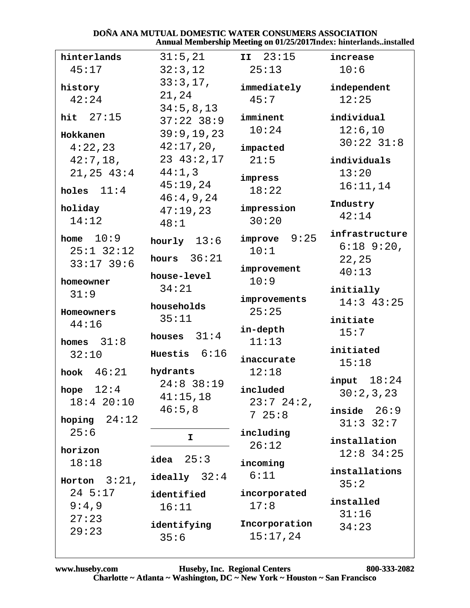#### DOÑA ANA MUTUAL DOMESTIC WATER CONSUMERS ASSOCIATION Annual Membership Meeting on 01/25/2017Index: hinterlands..installed

| hinterlands                                 | 31:5,21                                 | II 23:15                  | increase                                   |  |
|---------------------------------------------|-----------------------------------------|---------------------------|--------------------------------------------|--|
| 45:17                                       | 32:3,12                                 | 25:13                     | 10:6                                       |  |
| history<br>42:24                            | 33:3,17,<br>21,24                       | immediately<br>45:7       | independent<br>12:25                       |  |
| hit $27:15$                                 | 34:5,8,13<br>$37:22$ 38:9<br>39:9,19,23 | imminent<br>10:24         | individual<br>12:6,10                      |  |
| Hokkanen                                    | 42:17,20,                               |                           | $30:22$ $31:8$                             |  |
| 4:22,23<br>42:7,18,                         | $23 \t43:2,17$<br>44:1,3                | impacted<br>21:5          | individuals                                |  |
| 21, 25, 43:4<br>holes $11:4$                | 45:19,24                                | impress<br>18:22          | 13:20<br>16:11,14                          |  |
| holiday<br>14:12                            | 46:4,9,24<br>47:19.23<br>48:1           | impression<br>30:20       | Industry<br>42:14                          |  |
| home $10:9$<br>$25:1$ 32:12<br>$33:17$ 39:6 | hourly $13:6$<br>hours $36:21$          | 9:25<br>improve<br>10:1   | infrastructure<br>$6:18$ $9:20$ ,<br>22,25 |  |
|                                             | house-level                             | improvement               | 40:13                                      |  |
| homeowner                                   | 34:21                                   | 10:9                      | initially                                  |  |
| 31:9<br>Homeowners                          | households                              | improvements<br>25:25     | $14:3$ 43:25                               |  |
| 44:16                                       | 35:11                                   |                           | initiate                                   |  |
| homes $31:8$                                | houses $31:4$                           | in-depth<br>11:13         | 15:7                                       |  |
| 32:10                                       | Huestis $6:16$                          | inaccurate                | initiated                                  |  |
| 46:21<br>hook                               | hydrants                                | 12:18                     | 15:18                                      |  |
| 12:4<br>hope<br>18:420:10                   | $24:8$ 38:19<br>41:15,18                | included                  | input $18:24$<br>30:2,3,23                 |  |
| 24:12<br>hoping                             | 46:5,8                                  | $23:7$ $24:2$ ,<br>725:8  | inside $26:9$<br>$31:3$ $32:7$             |  |
| 25:6<br>horizon                             | I                                       | including<br>26:12        | installation<br>$12:8$ 34:25               |  |
| 18:18                                       | 25:3<br>idea                            | incoming                  |                                            |  |
| Horton $3:21$ ,                             | $i$ deally $32:4$                       | 6:11                      | installations<br>35:2                      |  |
| 24 5:17<br>9:4,9                            | identified<br>16:11                     | incorporated<br>17:8      | installed<br>31:16                         |  |
| 27:23<br>29:23                              | identifying<br>35:6                     | Incorporation<br>15:17,24 | 34:23                                      |  |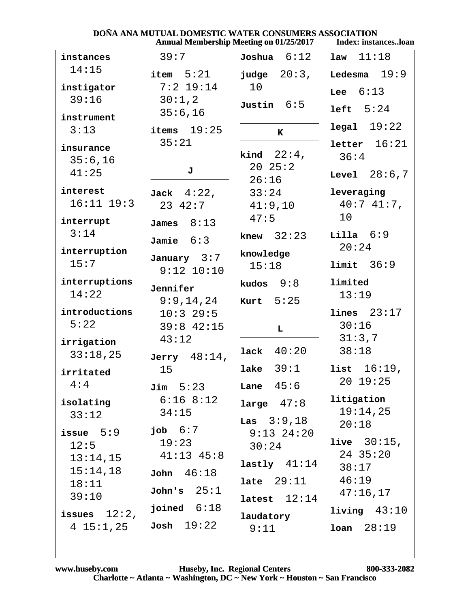| <b>Annual Membership Meeting on 01/25/2017</b> |                        |                     | Index: instancesloan  |  |
|------------------------------------------------|------------------------|---------------------|-----------------------|--|
| instances                                      | 39:7                   | $Joshua$ $6:12$     | 11:18<br>law          |  |
| 14:15                                          | item $5:21$            | $j$ udge $20:3$ ,   | 19:9<br>Ledesma       |  |
| instigator                                     | $7:2$ 19:14            | 10                  | 6:13<br>Lee           |  |
| 39:16                                          | 30:1,2<br>35:6,16      | Justin $6:5$        | left  5:24            |  |
| instrument                                     |                        |                     | $legal$ $19:22$       |  |
| 3:13                                           | items $19:25$<br>35:21 | ${\bf K}$           | letter 16:21          |  |
| insurance                                      |                        | kind $22:4$ ,       | 36:4                  |  |
| 35:6,16<br>41:25                               | J                      | 2025:2<br>26:16     | <b>Level</b> $28:6,7$ |  |
| interest                                       | Jack $4:22$ ,          | 33:24               | leveraging            |  |
| $16:11$ $19:3$                                 | $23 \t42:7$            | 41:9,10             | $40:741:7$ ,          |  |
| interrupt                                      | James $8:13$           | 47:5                | 10                    |  |
| 3:14                                           | Jamie $6:3$            | knew $32:23$        | Lilla $6:9$           |  |
| interruption                                   | January $3:7$          | knowledge           | 20:24                 |  |
| 15:7                                           | $9:12$ $10:10$         | 15:18               | limit 36:9            |  |
| interruptions                                  | Jennifer               | 9:8<br>kudos        | limited               |  |
| 14:22                                          | 9:9,14,24              | Kurt $5:25$         | 13:19                 |  |
| introductions<br>5:22                          | $10:3$ 29:5            |                     | lines 23:17           |  |
|                                                | $39:8$ 42:15<br>43:12  | $\mathbf L$         | 30:16<br>31:3,7       |  |
| irrigation<br>33:18,25                         | Jerry $48:14$ ,        | lack $40:20$        | 38:18                 |  |
| irritated                                      | 15                     | lake $39:1$         | $16:19$ ,<br>list     |  |
| 4:4                                            | $\texttt{Jim}$ 5:23    | Lane $45:6$         | 20 19:25              |  |
| isolating                                      | $6:16$ $8:12$          | large $47:8$        | litigation            |  |
| 33:12                                          | 34:15                  | <b>Las</b> $3:9,18$ | 19:14,25              |  |
| issue $5:9$                                    | job $6:7$              | $9:13$ $24:20$      | 20:18                 |  |
| 12:5                                           | 19:23                  | 30:24               | <b>live</b> $30:15$ , |  |
| 13:14,15                                       | $41:13$ $45:8$         | lastly $41:14$      | $24$ 35:20<br>38:17   |  |
| 15:14,18<br>18:11                              | John 46:18             | $late$ $29:11$      | 46:19                 |  |
| 39:10                                          | John's $25:1$          | latest $12:14$      | 47:16,17              |  |
| issues $12:2$ ,                                | joined $6:18$          | laudatory           | $1$ iving $43:10$     |  |
| 4 15:1,25                                      | Josh 19:22             | 9:11                | $1$ oan $28:19$       |  |

### DOÑA ANA MUTUAL DOMESTIC WATER CONSUMERS ASSOCIATION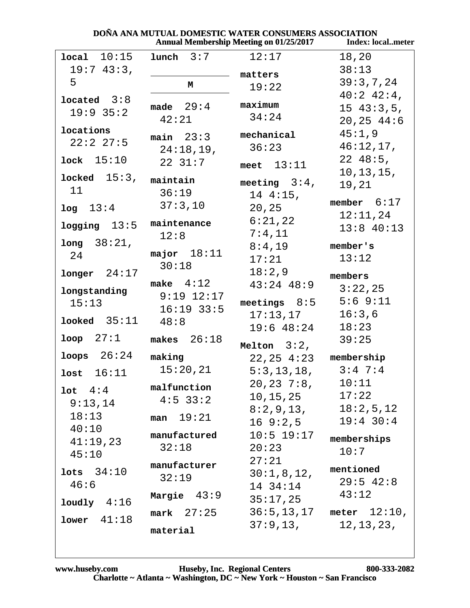|                   | <b>Annual Membership Meeting on 01/25/2017</b> |                 | <b>Index: localmeter</b>       |  |
|-------------------|------------------------------------------------|-----------------|--------------------------------|--|
| local 10:15       | 3:7<br>lunch                                   | 12:17           | 18,20                          |  |
| 19:743:3,         |                                                | matters         | 38:13                          |  |
| 5                 | М                                              | 19:22           | 39:3,7,24                      |  |
| $1$ ocated $3:8$  |                                                |                 | $40:2$ $42:4$ ,                |  |
| 19:9 35:2         | made $29:4$                                    | maximum         | 1543:3,5,                      |  |
|                   | 42:21                                          | 34:24           | 20, 25, 44:6                   |  |
| locations         | $main$ 23:3                                    | mechanical      | 45:1,9                         |  |
| 22:227:5          | 24:18,19,                                      | 36:23           | 46:12,17,                      |  |
| $lock$ 15:10      | 2231:7                                         | meet $13:11$    | $22\;48:5$ ,                   |  |
| locked $15:3$ ,   |                                                |                 | 10, 13, 15,                    |  |
| 11                | maintain                                       | meeting $3:4$ , | 19,21                          |  |
|                   | 36:19                                          | $14 4:15$ ,     | member $6:17$                  |  |
| log 13:4          | 37:3,10                                        | 20, 25          | 12:11,24                       |  |
| $logging$ 13:5    | maintenance                                    | 6:21,22         | $13:8$ 40:13                   |  |
| long 38:21,       | 12:8                                           | 7:4,11          |                                |  |
| 24                | major $18:11$                                  | 8:4,19          | member's                       |  |
|                   | 30:18                                          | 17:21           | 13:12                          |  |
| $longer$ 24:17    |                                                | 18:2,9          | members                        |  |
| longstanding      | make $4:12$                                    | $43:24$ $48:9$  | 3:22,25                        |  |
| 15:13             | $9:19$ $12:17$                                 | meetings $8:5$  | 5:69:11                        |  |
|                   | $16:19$ 33:5                                   | 17:13,17        | 16:3,6                         |  |
| $1$ ooked $35:11$ | 48:8                                           | $19:6$ 48:24    | 18:23                          |  |
| $loop$ $27:1$     | makes $26:18$                                  | Melton $3:2$ ,  | 39:25                          |  |
| $\log s$ $26:24$  | making                                         | $22, 25$ 4:23   | membership                     |  |
| lost $16:11$      | 15:20,21                                       | 5:3,13,18,      | $3:4$ 7:4                      |  |
|                   | malfunction                                    | 20, 23, 7:8,    | 10:11                          |  |
| $1$ ot $4:4$      | $4:5$ 33:2                                     | 10,15,25        | 17:22                          |  |
| 9:13,14           |                                                | 8:2,9,13,       | 18:2,5,12                      |  |
| 18:13             | man $19:21$                                    | 169::2,5        | $19:4$ 30:4                    |  |
| 40:10<br>41:19,23 | manufactured                                   | $10:5$ 19:17    | memberships                    |  |
| 45:10             | 32:18                                          | 20:23           | 10:7                           |  |
|                   | manufacturer                                   | 27:21           |                                |  |
| $1$ ots $34:10$   | 32:19                                          | 30:1,8,12,      | mentioned                      |  |
| 46:6              |                                                | 14 34:14        | $29:5$ 42:8                    |  |
| $1$ oudly $4:16$  | Margie $43:9$                                  | 35:17,25        | 43:12                          |  |
| lower 41:18       | $mark$ 27:25                                   |                 | $36:5, 13, 17$ meter $12:10$ , |  |
|                   | material                                       | 37:9,13,        | 12, 13, 23,                    |  |
|                   |                                                |                 |                                |  |

## DOÑA ANA MUTUAL DOMESTIC WATER CONSUMERS ASSOCIATION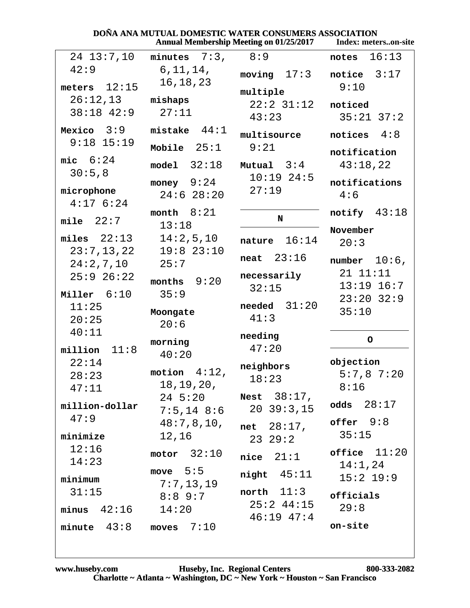| DOÑA ANA MUTUAL DOMESTIC WATER CONSUMERS ASSOCIATION<br><b>Annual Membership Meeting on 01/25/2017</b><br>Index: meterson-site |                                       |                                     |                                       |  |  |
|--------------------------------------------------------------------------------------------------------------------------------|---------------------------------------|-------------------------------------|---------------------------------------|--|--|
| $24$ $13:7,10$                                                                                                                 | minutes $7:3$ , $8:9$                 |                                     | 16:13<br>notes                        |  |  |
| 42:9<br>meters $12:15$                                                                                                         | 6, 11, 14,<br>16, 18, 23              | moving $17:3$                       | notice $3:17$<br>9:10                 |  |  |
| 26:12,13<br>$38:18$ 42:9                                                                                                       | mishaps<br>27:11                      | multiple<br>$22:2$ $31:12$<br>43:23 | noticed<br>$35:21$ $37:2$             |  |  |
| Mexico $3:9$<br>$9:18$ 15:19                                                                                                   | mistake $44:1$                        | multisource                         | notices $4:8$                         |  |  |
| mic $6:24$                                                                                                                     | Mobile $25:1$<br>$model$ 32:18        | 9:21<br>Mutual $3:4$                | notification<br>43:18,22              |  |  |
| 30:5,8<br>microphone<br>$4:17$ 6:24                                                                                            | money $9:24$<br>$24:6$ 28:20          | $10:19$ 24:5<br>27:19               | notifications<br>4:6                  |  |  |
| mile $22:7$                                                                                                                    | month $8:21$<br>13:18                 | N                                   | notify $43:18$                        |  |  |
| $miles$ $22:13$                                                                                                                | 14:2,5,10                             | 16:14<br>nature                     | November<br>20:3                      |  |  |
| 23:7,13,22<br>24:2,7,10<br>$25:9$ $26:22$                                                                                      | $19:8$ 23:10<br>25:7<br>months $9:20$ | neat $23:16$<br>necessarily         | number $10:6$ ,<br>21 11:11           |  |  |
| Miller 6:10<br>11:25                                                                                                           | 35:9                                  | 32:15<br>needed $31:20$             | $13:19$ $16:7$<br>$23:20$ $32:9$      |  |  |
| 20:25                                                                                                                          | Moongate<br>20:6                      | 41:3                                | 35:10                                 |  |  |
| 40:11<br>11:8<br>million                                                                                                       | morning<br>40:20                      | needing<br>47:20                    | $\circ$                               |  |  |
| 22:14<br>28:23<br>47:11                                                                                                        | motion $4:12$ ,<br>18,19,20,          | neighbors<br>18:23                  | objection<br>$5:7,8$ 7:20<br>8:16     |  |  |
| million-dollar                                                                                                                 | $24\;\;5:20$<br>$7:5,14$ 8:6          | Nest $38:17$ ,<br>$20\ \ 39:3,15$   | odds $28:17$                          |  |  |
| 47:9<br>minimize                                                                                                               | 48:7,8,10,<br>12,16                   | $net 28:17$ ,<br>23 29:2            | offer 9:8<br>35:15                    |  |  |
| 12:16<br>14:23                                                                                                                 | motor $32:10$                         | nice $21:1$                         | $of \texttt{face}$ $11:20$<br>14:1,24 |  |  |
| minimum                                                                                                                        | move $5:5$<br>7:7,13,19               | $night$ 45:11                       | $15:2$ 19:9                           |  |  |
| 31:15<br>$minus$ 42:16                                                                                                         | $8:8$ 9:7<br>14:20                    | north $11:3$<br>$25:2$ 44:15        | officials<br>29:8                     |  |  |
| minute $43:8$                                                                                                                  | moves $7:10$                          | $46:19$ $47:4$                      | on-site                               |  |  |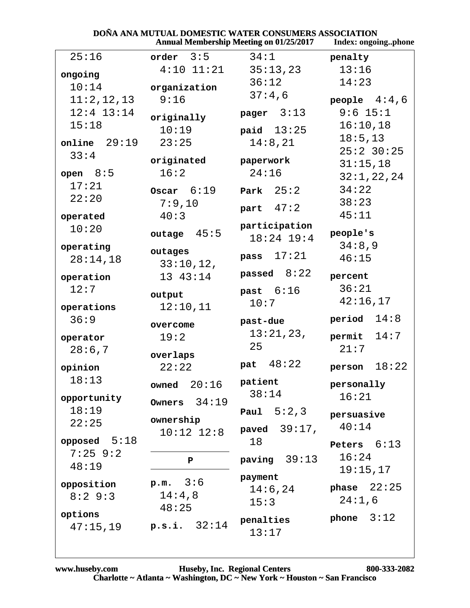| DOÑA ANA MUTUAL DOMESTIC WATER CONSUMERS ASSOCIATION<br><b>Annual Membership Meeting on 01/25/2017</b> |                     |                               |                 |  |
|--------------------------------------------------------------------------------------------------------|---------------------|-------------------------------|-----------------|--|
|                                                                                                        | Index: ongoingphone |                               |                 |  |
| 25:16                                                                                                  | $order \t3:5$       | 34:1                          | penalty         |  |
| ongoing                                                                                                | $4:10$ $11:21$      | 35:13,23                      | 13:16           |  |
| 10:14                                                                                                  | organization        | 36:12                         | 14:23           |  |
| 11:2,12,13                                                                                             | 9:16                | 37:4,6                        | people $4:4,6$  |  |
| $12:4$ $13:14$                                                                                         | originally          | pager $3:13$                  | $9:6$ 15:1      |  |
| 15:18                                                                                                  | 10:19               | paid $13:25$                  | 16:10,18        |  |
| $online$ 29:19                                                                                         | 23:25               | 14:8,21                       | 18:5, 13        |  |
| 33:4                                                                                                   | originated          | paperwork                     | $25:2$ 30:25    |  |
| open $8:5$                                                                                             | 16:2                | 24:16                         | 31:15,18        |  |
| 17:21                                                                                                  |                     |                               | 32:1,22,24      |  |
| 22:20                                                                                                  | Oscar $6:19$        | Park $25:2$                   | 34:22           |  |
|                                                                                                        | 7:9,10              | part $47:2$                   | 38:23           |  |
| operated                                                                                               | 40:3                |                               | 45:11           |  |
| 10:20                                                                                                  | outage $45:5$       | participation<br>$18:24$ 19:4 | people's        |  |
| operating                                                                                              | outages             | pass 17:21                    | 34:8,9          |  |
| 28:14,18                                                                                               | 33:10,12,           |                               | 46:15           |  |
| operation                                                                                              | 13 43:14            | passed $8:22$                 | percent         |  |
| 12:7                                                                                                   | output              | past $6:16$                   | 36:21           |  |
| operations                                                                                             | 12:10,11            | 10:7                          | 42:16,17        |  |
| 36:9                                                                                                   |                     | past-due                      | period $14:8$   |  |
|                                                                                                        | overcome            | 13:21,23,                     |                 |  |
| operator                                                                                               | 19:2                | 25                            | 14:7<br>permit  |  |
| 28:6,7                                                                                                 | overlaps            |                               | 21:7            |  |
| opinion                                                                                                | 22:22               | pat 48:22                     | 18:22<br>person |  |
| 18:13                                                                                                  | owned $20:16$       | patient                       | personally      |  |
| opportunity                                                                                            | Owners $34:19$      | 38:14                         | 16:21           |  |
| 18:19                                                                                                  |                     | <b>Paul</b> $5:2,3$           | persuasive      |  |
| 22:25                                                                                                  | ownership           |                               | 40:14           |  |
|                                                                                                        | $10:12$ $12:8$      | paved $39:17$ ,               |                 |  |
| opposed $5:18$                                                                                         |                     | 18                            | Peters $6:13$   |  |
| $7:25$ 9:2                                                                                             | P                   | paving $39:13$                | 16:24           |  |
| 48:19                                                                                                  |                     | payment                       | 19:15,17        |  |
| opposition                                                                                             | p.m. 3:6            | 14:6,24                       | phase $22:25$   |  |
| 8:29:3                                                                                                 | 14:4,8              | 15:3                          | 24:1,6          |  |
| options                                                                                                | 48:25               |                               |                 |  |
| 47:15,19                                                                                               | p.s.i. 32:14        | penalties<br>13:17            | phone $3:12$    |  |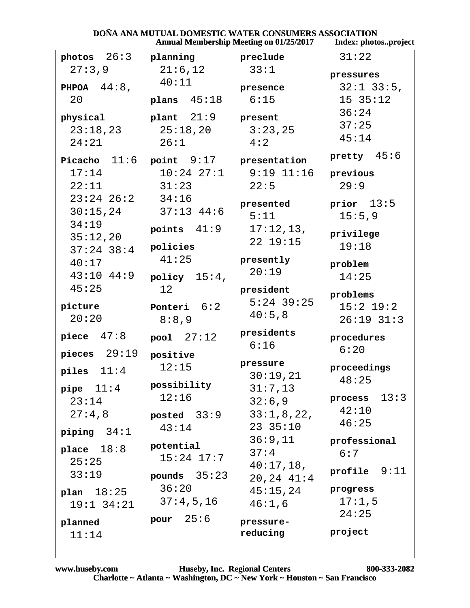|                          | <b>Annual Membership Meeting on 01/25/2017</b> | Index: photosproject |                  |
|--------------------------|------------------------------------------------|----------------------|------------------|
| $photos$ $26:3$          | planning                                       | preclude             | 31:22            |
| 27:3,9                   | 21:6,12                                        | 33:1                 | pressures        |
| PHPOA $44:8$ ,           | 40:11                                          | presence             | $32:1$ $33:5$ ,  |
| 20                       | plans $45:18$                                  | 6:15                 | 15 35:12         |
| physical                 | $plan$ t $21:9$                                | present              | 36:24            |
| 23:18,23                 | 25:18,20                                       | 3:23,25              | 37:25            |
| 24:21                    | 26:1                                           | 4:2                  | 45:14            |
|                          | Picacho $11:6$ point $9:17$ presentation       |                      | pretty $45:6$    |
| 17:14                    | $10:24$ $27:1$                                 | $9:19$ $11:16$       | previous         |
| 22:11                    | 31:23                                          | 22:5                 | 29:9             |
| $23:24$ $26:2$ $34:16$   |                                                | presented            | prior $13:5$     |
| 30:15,24                 | $37:13$ $44:6$                                 | 5:11                 | 15:5,9           |
| 34:19                    | points $41:9$                                  | 17:12,13,            | privilege        |
| 35:12,20<br>$37:24$ 38:4 | policies                                       | 22 19:15             | 19:18            |
| 40:17                    | 41:25                                          | presently            |                  |
| $43:10$ $44:9$           | policy $15:4$ ,                                | 20:19                | problem<br>14:25 |
| 45:25                    | 12                                             | president            |                  |
|                          |                                                | $5:24$ 39:25         | problems         |
| picture<br>20:20         | Ponteri $6:2$                                  | 40:5,8               | $15:2$ $19:2$    |
|                          | 8:8,9                                          |                      | $26:19$ $31:3$   |
| piece $47:8$             | pool $27:12$                                   | presidents<br>6:16   | procedures       |
| pieces $29:19$           | positive                                       |                      | 6:20             |
| piles $11:4$             | 12:15                                          | pressure<br>30:19,21 | proceedings      |
| pipe $11:4$              | possibility                                    | 31:7,13              | 48:25            |
| 23:14                    | 12:16                                          | 32:6,9               | process $13:3$   |
| 27:4,8                   | posted $33:9$                                  | 33:1,8,22,           | 42:10            |
|                          | 43:14                                          | 23 35:10             | 46:25            |
| piping $34:1$            |                                                | 36:9,11              | professional     |
| place $18:8$             | potential<br>$15:24$ $17:7$                    | 37:4                 | 6:7              |
| 25:25                    |                                                | 40:17,18,            | profile 9:11     |
| 33:19                    | pounds $35:23$                                 | $20, 24$ $41:4$      |                  |
| plan $18:25$             | 36:20                                          | 45:15,24             | progress         |
| $19:1$ $34:21$           | 37:4,5,16                                      | 46:1,6               | 17:1,5<br>24:25  |
| planned                  | pour $25:6$                                    | pressure-            |                  |
| 11:14                    |                                                | reducing             | project          |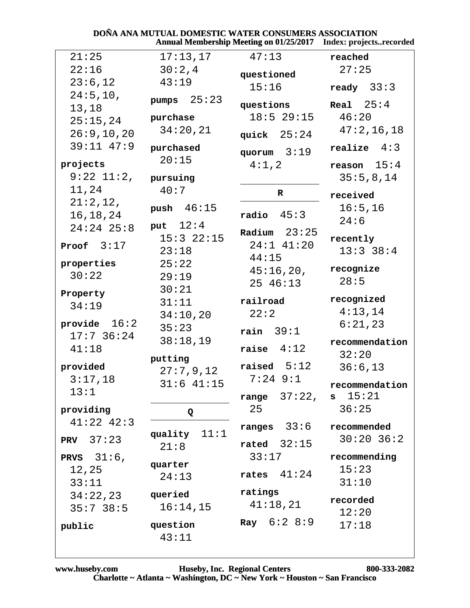# **DOÑA ANA MUTUAL DOMESTIC WATER CONSUMERS ASSOCIATION<br>Annual Membership Meeting on 01/25/2017 Index: projects..recorded**

| 21:25            | 17:13,17       | 47:13                     | reached        |
|------------------|----------------|---------------------------|----------------|
| 22:16            | 30:2,4         | questioned                | 27:25          |
| 23:6,12          | 43:19          | 15:16                     | ready $33:3$   |
| 24:5, 10,        |                |                           |                |
| 13,18            | 25:23<br>pumps | questions                 | Real $25:4$    |
| 25:15,24         | purchase       | $18:5$ 29:15              | 46:20          |
| 26:9, 10, 20     | 34:20,21       |                           | 47:2,16,18     |
| 39:11 47:9       |                | quick $25:24$             |                |
|                  | purchased      | quorum $3:19$             | realize $4:3$  |
| projects         | 20:15          | 4:1,2                     | reason $15:4$  |
| $9:22$ $11:2$ ,  | pursuing       |                           | 35:5,8,14      |
| 11,24            | 40:7           | $\mathbf R$               |                |
| 21:2,12,         |                |                           | received       |
| 16, 18, 24       | push $46:15$   | radio $45:3$              | 16:5, 16       |
| $24:24$ 25:8     | put $12:4$     |                           | 24:6           |
|                  | $15:3$ $22:15$ | Radium $23:25$            | recently       |
| Proof $3:17$     | 23:18          | $24:1$ $41:20$            | $13:3$ 38:4    |
| properties       | 25:22          | 44:15                     |                |
| 30:22            | 29:19          | 45:16,20,                 | recognize      |
|                  | 30:21          | $25 \t46:13$              | 28:5           |
| Property         | 31:11          | railroad                  | recognized     |
| 34:19            |                | 22:2                      | 4:13,14        |
| provide $16:2$   | 34:10,20       |                           | 6:21,23        |
| $17:7$ 36:24     | 35:23          | rain $39:1$               |                |
| 41:18            | 38:18,19       | raise $4:12$              | recommendation |
|                  | putting        |                           | 32:20          |
| provided         | 27:7,9,12      | raised $5:12$             | 36:6,13        |
| 3:17,18          | $31:6$ $41:15$ | $7:24$ $9:1$              | recommendation |
| 13:1             |                | range $37:22$ , s $15:21$ |                |
| providing        |                | 25                        | 36:25          |
| $41:22$ $42:3$   | Q              |                           |                |
|                  | quality $11:1$ | 33:6<br>ranges            | recommended    |
| <b>PRV</b> 37:23 | 21:8           | rated $32:15$             | $30:20$ 36:2   |
| PRVS $31:6$ ,    |                | 33:17                     | recommending   |
| 12,25            | quarter        |                           | 15:23          |
| 33:11            | 24:13          | 41:24<br>rates            | 31:10          |
| 34:22,23         | queried        | ratings                   |                |
| 35:738:5         | 16:14,15       | 41:18,21                  | recorded       |
|                  |                |                           | 12:20          |
| public           | question       | <b>Ray</b> $6:2 8:9$      | 17:18          |
|                  | 43:11          |                           |                |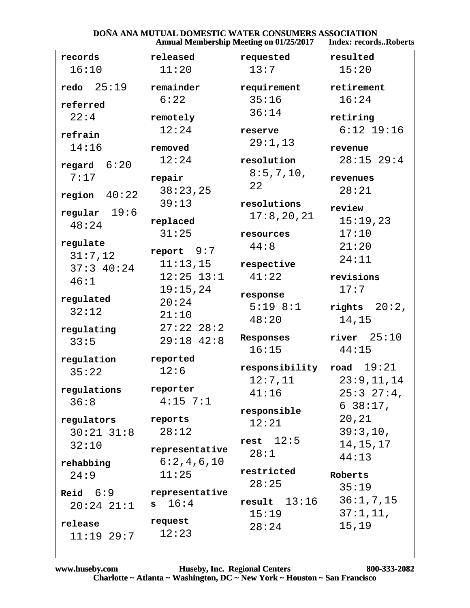#### **DOÑA ANA MUTUAL DOMESTIC WATER CONSUMERS ASSOCIATION<br>Annual Membership Meeting on 01/25/2017** Index: records **Index: records..Roberts**

|                     | Allingal Mcmocromp incernig on $01/23/2017$ |                             |                 |  |
|---------------------|---------------------------------------------|-----------------------------|-----------------|--|
| records             | released                                    | requested                   | resulted        |  |
| 16:10               | 11:20                                       | 13:7                        | 15:20           |  |
| redo $25:19$        | remainder                                   | requirement                 | retirement      |  |
| referred            | 6:22                                        | 35:16                       | 16:24           |  |
| 22:4                | remotely                                    | 36:14                       | retiring        |  |
| refrain             | 12:24                                       | reserve                     | $6:12$ 19:16    |  |
| 14:16               | removed                                     | 29:1,13                     | revenue         |  |
| 6:20<br>regard      | 12:24                                       | resolution                  | $28:15$ 29:4    |  |
| 7:17                | repair                                      | 8:5,7,10,<br>22             | revenues        |  |
| region $40:22$      | 38:23,25                                    |                             | 28:21           |  |
|                     | 39:13                                       | resolutions                 | review          |  |
| regular $19:6$      | replaced                                    | 17:8,20,21                  | 15:19,23        |  |
| 48:24               | 31:25                                       | resources                   | 17:10           |  |
| regulate            |                                             | 44:8                        | 21:20           |  |
| 31:7,12             | report $9:7$<br>11:13,15                    |                             | 24:11           |  |
| 37:340:24           | $12:25$ $13:1$                              | respective<br>41:22         | revisions       |  |
| 46:1                | 19:15,24                                    |                             | 17:7            |  |
| regulated           | 20:24                                       | response                    |                 |  |
| 32:12               | 21:10                                       | $5:19$ $8:1$                | rights $20:2$ , |  |
|                     | $27:22$ $28:2$                              | 48:20                       | 14,15           |  |
| regulating<br>33:5  | $29:18$ 42:8                                | Responses                   | river $25:10$   |  |
|                     | 16:15                                       |                             | 44:15           |  |
| regulation          | reported                                    | responsibility road $19:21$ |                 |  |
| 35:22               | 12:6                                        | 12:7,11                     | 23:9,11,14      |  |
| regulations         | reporter                                    | 41:16                       | 25:327:4        |  |
| 36:8                | $4:15$ 7:1                                  |                             | $638:17$ ,      |  |
| regulators          | reports                                     | responsible                 | 20, 21          |  |
| $30:21$ $31:8$      | 28:12                                       | 12:21                       | 39:3,10,        |  |
| 32:10               |                                             | rest $12:5$                 | 14, 15, 17      |  |
|                     | representative                              | 28:1                        | 44:13           |  |
| rehabbing           | 6:2,4,6,10                                  | restricted                  |                 |  |
| 24:9                | 11:25                                       | 28:25                       | Roberts         |  |
| $\textbf{Reid}$ 6:9 | representative                              |                             | 35:19           |  |
| $20:24$ $21:1$      | 16:4<br>$\mathbf{s}$                        | 13:16<br>result             | 36:1,7,15       |  |
| release             | request                                     | 15:19                       | 37:1,11,        |  |
| $11:19$ 29:7        | 12:23                                       | 28:24                       | 15,19           |  |
|                     |                                             |                             |                 |  |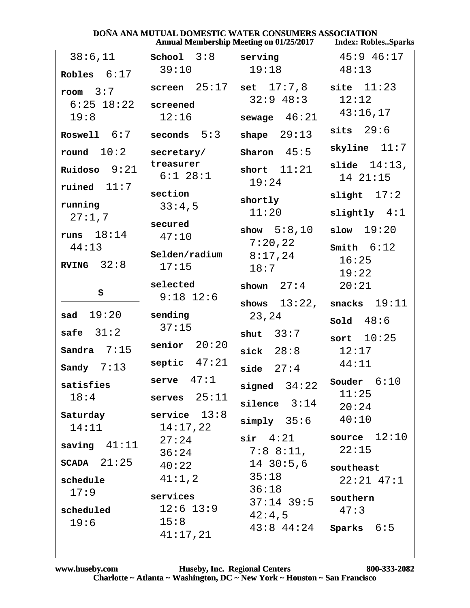| DOÑA ANA MUTUAL DOMESTIC WATER CONSUMERS ASSOCIATION<br><b>Annual Membership Meeting on 01/25/2017</b><br><b>Index: RoblesSparks</b> |                   |  |                               |  |       |                |
|--------------------------------------------------------------------------------------------------------------------------------------|-------------------|--|-------------------------------|--|-------|----------------|
| 38:6,11                                                                                                                              | School $3:8$      |  | serving                       |  |       | $45:9$ $46:17$ |
| bles $6:17$                                                                                                                          | 39:10             |  | 19:18                         |  | 48:13 |                |
| om $3:7$                                                                                                                             | screen $25:17$    |  | set 17:7,8                    |  |       | site $11:23$   |
| $6:25$ 18:22<br>19:8                                                                                                                 | screened<br>12:16 |  | $32:9$ 48:3<br>sewage $46:21$ |  | 12:12 | 43:16,17       |

| room $3:7$      |                  | screen $25:17$ set $17:7,8$ | site $11:23$    |
|-----------------|------------------|-----------------------------|-----------------|
| $6:25$ 18:22    | screened         | $32:9$ 48:3                 | 12:12           |
|                 | 12:16            |                             | 43:16,17        |
| 19:8            |                  | sewage $46:21$              |                 |
| Roswell 6:7     | $seconds$ $5:3$  | shape $29:13$               | sits $29:6$     |
| round $10:2$    | secretary/       | Sharon $45:5$               | skyline $11:7$  |
|                 | treasurer        |                             | slide $14:13$ , |
| Ruidoso $9:21$  | $6:1$ 28:1       | short $11:21$               | 1421:15         |
| ruined $11:7$   |                  | 19:24                       |                 |
|                 | section          | shortly                     | slight $17:2$   |
| running         | 33:4,5           | 11:20                       | slightly $4:1$  |
| 27:1,7          | secured          |                             |                 |
| runs $18:14$    | 47:10            | show $5:8,10$               | slow 19:20      |
| 44:13           |                  | 7:20,22                     | Smith 6:12      |
|                 | Selden/radium    | 8:17,24                     | 16:25           |
| RVING $32:8$    | 17:15            | 18:7                        | 19:22           |
|                 | selected         | shown $27:4$                | 20:21           |
| S               | $9:18$ 12:6      |                             |                 |
|                 |                  | shows $13:22$ ,             | snacks $19:11$  |
| 19:20<br>sad    | sending          | 23,24                       | Sold $48:6$     |
| 31:2<br>safe    | 37:15            | shut $33:7$                 |                 |
|                 | senior $20:20$   |                             | sort $10:25$    |
| Sandra $7:15$   |                  | sick $28:8$                 | 12:17           |
| Sandy $7:13$    | septic $47:21$   | side $27:4$                 | 44:11           |
| satisfies       | serve $47:1$     | signed $34:22$              | Souder $6:10$   |
| 18:4            | serves $25:11$   |                             | 11:25           |
|                 |                  |                             |                 |
|                 |                  | silence $3:14$              |                 |
| Saturday        | 13:8<br>service  |                             | 20:24           |
| 14:11           | 14:17,22         | $simply$ 35:6               | 40:10           |
|                 | 27:24            | $\texttt{sir}$ 4:21         | source $12:10$  |
| saving $41:11$  | 36:24            | $7:8$ $8:11$ ,              | 22:15           |
| $SCADA$ $21:25$ | 40:22            | $14 \ \ 30:5,6$             |                 |
|                 |                  | 35:18                       | southeast       |
| schedule        | 41:1,2           | 36:18                       | $22:21$ 47:1    |
| 17:9            | services         | $37:14$ 39:5                | southern        |
| scheduled       | $12:6$ $13:9$    |                             | 47:3            |
| 19:6            | 15:8<br>41:17,21 | 42:4,5<br>$43:8$ $44:24$    | Sparks $6:5$    |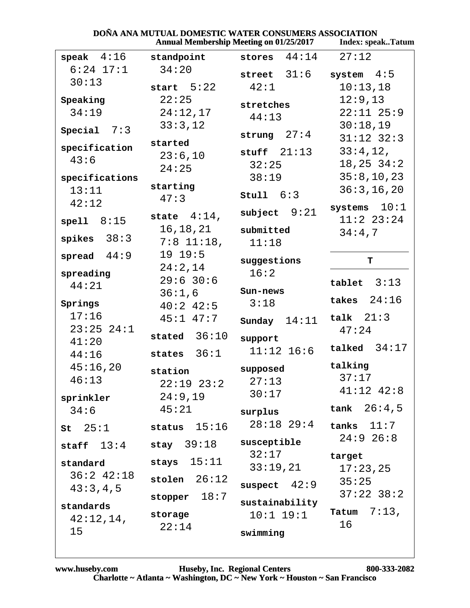|                 |                       | <b>Annual Membership Meeting on 01/25/2017</b> | <b>Index: speakTatum</b>     |
|-----------------|-----------------------|------------------------------------------------|------------------------------|
| speak $4:16$    | standpoint            | 44:14<br>stores                                | 27:12                        |
| $6:24$ 17:1     | 34:20                 | 31:6<br>street                                 | system $4:5$                 |
| 30:13           | start $5:22$          | 42:1                                           | 10:13,18                     |
| Speaking        | 22:25                 | stretches                                      | 12:9,13                      |
| 34:19           | 24:12,17              | 44:13                                          | $22:11$ $25:9$               |
| Special $7:3$   | 33:3,12               |                                                | 30:18,19                     |
|                 | started               | strung $27:4$                                  | $31:12$ $32:3$               |
| specification   | 23:6,10               | stuff $21:13$                                  | 33:4,12,                     |
| 43:6            | 24:25                 | 32:25                                          | $18, 25$ $34:2$              |
| specifications  |                       | 38:19                                          | 35:8,10,23                   |
| 13:11           | starting              | stu11 6:3                                      | 36:3, 16, 20                 |
| 42:12           | 47:3                  |                                                | systems $10:1$               |
| spell $8:15$    | state $4:14$ ,        | subject $9:21$                                 | $11:2$ $23:24$               |
|                 | 16,18,21              | submitted                                      | 34:4,7                       |
| spikes $38:3$   | $7:8$ 11:18,          | 11:18                                          |                              |
| 44:9<br>spread  | 19.19:5               | suggestions                                    | т                            |
| spreading       | 24:2,14               | 16:2                                           |                              |
| 44:21           | $29:6$ 30:6           | Sun-news                                       | tablet $3:13$                |
| Springs         | 36:1,6<br>$40:2$ 42:5 | 3:18                                           | takes $24:16$                |
| 17:16           | $45:1$ $47:7$         |                                                | $14:11$ talk $21:3$          |
| $23:25$ $24:1$  |                       | Sunday                                         | 47:24                        |
| 41:20           | stated $36:10$        | support                                        |                              |
| 44:16           | states $36:1$         | $11:12$ $16:6$                                 | talked $34:17$               |
| 45:16,20        | station               | supposed                                       | talking                      |
| 46:13           | $22:19$ $23:2$        | 27:13                                          | 37:17                        |
| sprinkler       | 24:9,19               | 30:17                                          | $41:12$ $42:8$               |
| 34:6            | 45:21                 | surplus                                        | $tank \quad 26:4,5$          |
|                 |                       | $28:18$ $29:4$                                 | tanks $11:7$                 |
| $st \quad 25:1$ | status $15:16$        |                                                | $24:9$ 26:8                  |
| staff $13:4$    | stay $39:18$          | susceptible<br>32:17                           | target                       |
| standard        | stays $15:11$         | 33:19,21                                       | 17:23,25                     |
| $36:2$ 42:18    | stolen $26:12$        |                                                | 35:25                        |
| 43:3,4,5        |                       | suspect $42:9$                                 | $37:22$ $38:2$               |
| standards       | stopper $18:7$        | sustainability                                 |                              |
| 42:12,14,       | storage               |                                                | $10:1$ $19:1$ Tatum $7:13$ , |
| 15              | 22:14                 | swimming                                       | 16                           |

### DOÑA ANA MUTUAL DOMESTIC WATER CONSUMERS ASSOCIATION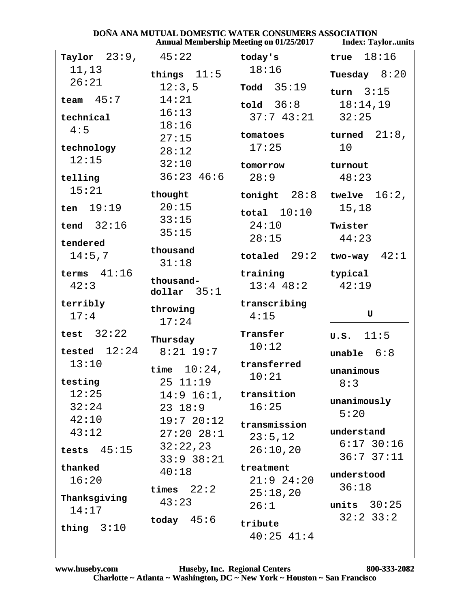|                 |                            | DONA ANA MUTUAL DOMESTIC WATER CONSUMERS ASSOCIATION<br><b>Annual Membership Meeting on 01/25/2017</b> | <b>Index: Taylorunits</b> |
|-----------------|----------------------------|--------------------------------------------------------------------------------------------------------|---------------------------|
| Taylor $23:9$ , | 45:22                      | today's                                                                                                | 18:16<br>true             |
| 11,13           | things $11:5$              | 18:16                                                                                                  | Tuesday $8:20$            |
| 26:21           | 12:3,5                     | $\texttt{ Todd}$ 35:19                                                                                 | turn $3:15$               |
| 45:7<br>team    | 14:21                      | $\texttt{told}$ 36:8                                                                                   | 18:14,19                  |
| technical       | 16:13                      | 37:743:21                                                                                              | 32:25                     |
| 4:5             | 18:16                      |                                                                                                        |                           |
|                 | 27:15                      | tomatoes                                                                                               | 21:8,<br>turned           |
| technology      | 28:12                      | 17:25                                                                                                  | 10                        |
| 12:15           | 32:10                      | tomorrow                                                                                               | turnout                   |
| telling         | $36:23$ 46:6               | 28:9                                                                                                   | 48:23                     |
| 15:21           | thought                    | tonight $28:8$                                                                                         | twelve $16:2$ ,           |
| 19:19<br>ten    | 20:15                      | total $10:10$                                                                                          | 15,18                     |
| tend $32:16$    | 33:15                      | 24:10                                                                                                  | Twister                   |
|                 | 35:15                      | 28:15                                                                                                  | 44:23                     |
| tendered        | thousand                   |                                                                                                        |                           |
| 14:5,7          | 31:18                      | totaled $29:2$                                                                                         | 42:1<br>two-way           |
| terms $41:16$   |                            | training                                                                                               | typical                   |
| 42:3            | thousand-<br>dollar $35:1$ | $13:4$ 48:2                                                                                            | 42:19                     |
| terribly        |                            | transcribing                                                                                           |                           |
| 17:4            | throwing                   | 4:15                                                                                                   | U                         |
|                 | 17:24                      |                                                                                                        |                           |
| test $32:22$    | Thursday                   | Transfer<br>10:12                                                                                      | 11:5<br>U.S.              |
| tested $12:24$  | $8:21$ 19:7                |                                                                                                        | unable $6:8$              |
| 13:10           | $10:24$ ,<br>time          | transferred                                                                                            | unanimous                 |
| testing         | 25 11:19                   | 10:21                                                                                                  | 8:3                       |
| 12:25           | $14:9$ $16:1$ , transition |                                                                                                        |                           |
| 32:24           | 23 18:9                    | 16:25                                                                                                  | unanimously               |
| 42:10           | $19:7$ $20:12$             | transmission                                                                                           | 5:20                      |
| 43:12           | $27:20$ $28:1$             | 23:5,12                                                                                                | understand                |
| tests $45:15$   | 32:22,23                   | 26:10,20                                                                                               | $6:17$ 30:16              |
|                 | $33:9$ $38:21$             |                                                                                                        | 36:737:11                 |
| thanked         | 40:18                      | treatment                                                                                              | understood                |
| 16:20           | times $22:2$               | $21:9$ $24:20$                                                                                         | 36:18                     |
| Thanksgiving    | 43:23                      | 25:18,20                                                                                               | units $30:25$             |
| 14:17           |                            | 26:1                                                                                                   | $32:2$ $33:2$             |
| thing $3:10$    | today $45:6$               | tribute                                                                                                |                           |
|                 |                            | $40:25$ $41:4$                                                                                         |                           |

### DOÑA ANA MUTHAL DOMESTIC WATER CONSUMERS ASSOCIATION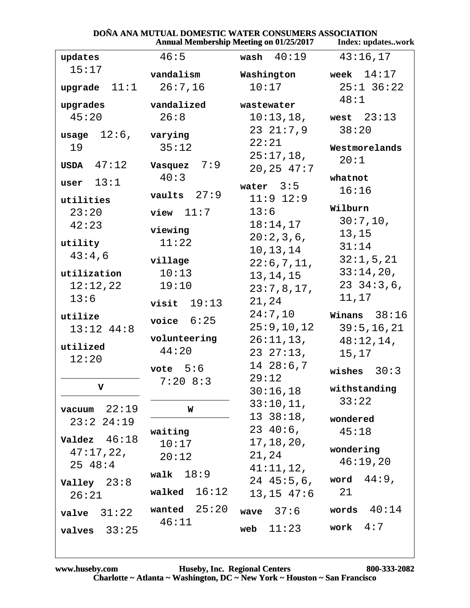| DOÑA ANA MUTUAL DOMESTIC WATER CONSUMERS ASSOCIATION |                |
|------------------------------------------------------|----------------|
| Annual Membershin Meeting on 01/25/2017              | Index: undates |

|                         |                          | <b>Annual Membership Meeting on 01/25/2017</b> | Index: updateswork        |
|-------------------------|--------------------------|------------------------------------------------|---------------------------|
| updates                 | 46:5                     | wash $40:19$                                   | 43:16,17                  |
| 15:17                   | vandalism                | Washington                                     | week $14:17$              |
| 11:1<br>upgrade         | 26:7,16                  | 10:17                                          | $25:1$ 36:22              |
| upgrades                | vandalized               | wastewater                                     | 48:1                      |
| 45:20                   | 26:8                     | 10:13,18,                                      | west $23:13$              |
|                         |                          | $23 \t21:7,9$                                  | 38:20                     |
| $12:6$ ,<br>usage<br>19 | varying<br>35:12         | 22:21                                          | Westmorelands             |
|                         |                          | $25:17,18$ ,                                   | 20:1                      |
| USDA $47:12$            | 7:9<br>Vasquez           | 20, 25, 47:7                                   |                           |
| 13:1<br>user            | 40:3                     | water $3:5$                                    | whatnot                   |
| utilities               | vaults $27:9$            | $11:9$ $12:9$                                  | 16:16                     |
| 23:20                   | view $11:7$              | 13:6                                           | Wilburn                   |
| 42:23                   | viewing                  | 18:14,17                                       | 30:7,10,                  |
| utility                 | 11:22                    | 20:2,3,6,                                      | 13,15                     |
| 43:4,6                  |                          | 10, 13, 14                                     | 31:14                     |
|                         | village                  | 22:6,7,11,                                     | 32:1,5,21                 |
| utilization             | 10:13                    | 13, 14, 15                                     | 33:14,20,<br>23, 34:3, 6, |
| 12:12,22<br>13:6        | 19:10                    | 23:7,8,17,                                     | 11,17                     |
|                         | 19:13<br>visit           | 21,24                                          |                           |
| utilize                 | voice $6:25$             | 24:7,10                                        | Winans $38:16$            |
| $13:12$ $44:8$          | volunteering             | 25:9,10,12<br>26:11,13,                        | 39:5, 16, 21              |
| utilized                | 44:20                    | 2327:13,                                       | 48:12,14,<br>15,17        |
| 12:20                   |                          | 1428:6,7                                       |                           |
|                         | vote $5:6$<br>$7:20$ 8:3 | 29:12                                          | wishes $30:3$             |
| V                       |                          | 30:16,18                                       | withstanding              |
| $vacuum$ 22:19          | W                        | 33:10,11,                                      | 33:22                     |
| $23:2$ $24:19$          |                          | $13 \t38:18,$                                  | wondered                  |
|                         | waiting                  | $23\;40:6$ ,                                   | 45:18                     |
| Valdez $46:18$          | 10:17                    | 17, 18, 20,                                    | wondering                 |
| 47:17,22,               | 20:12                    | 21,24                                          | 46:19,20                  |
| $25 \t48:4$             | 18:9<br>walk             | 41:11,12,                                      |                           |
| Valley $23:8$           | walked $16:12$           | $24\;45:5,6$ ,                                 | word $44:9$ ,<br>21       |
| 26:21                   |                          | $13, 15$ $47:6$                                |                           |
| 31:22<br>valve          | wanted $25:20$           | wave $37:6$                                    | words $40:14$             |
| valves $33:25$          | 46:11                    | 11:23<br>web                                   | work $4:7$                |
|                         |                          |                                                |                           |